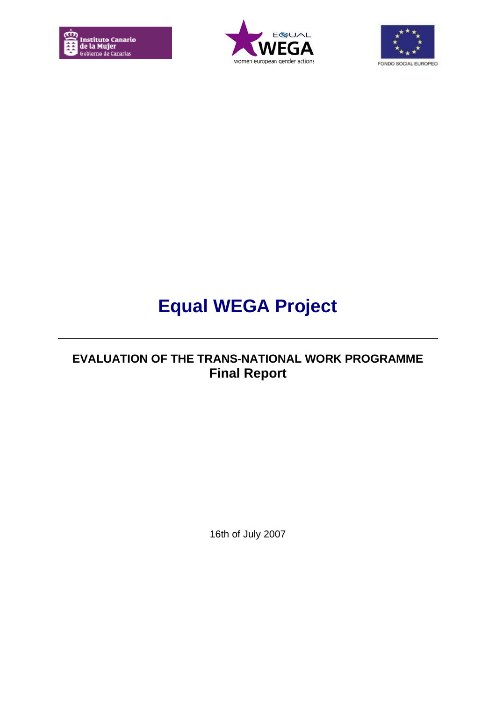





# **Equal WEGA Project**

## **EVALUATION OF THE TRANS-NATIONAL WORK PROGRAMME Final Report**

16th of July 2007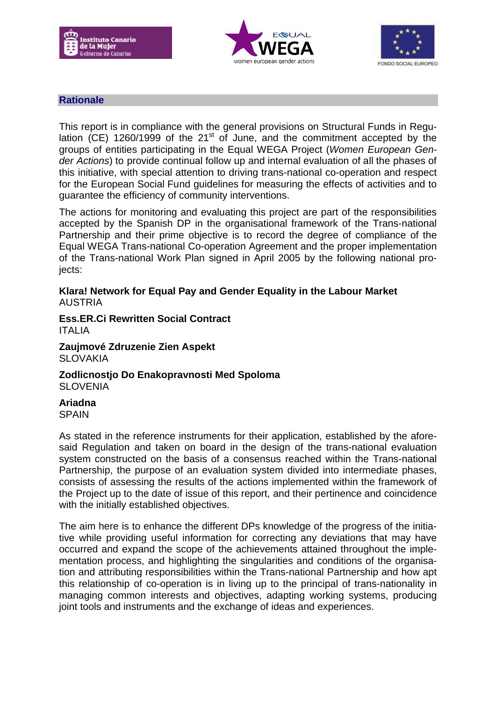





## **Rationale**

This report is in compliance with the general provisions on Structural Funds in Regulation (CE) 1260/1999 of the  $21<sup>st</sup>$  of June, and the commitment accepted by the groups of entities participating in the Equal WEGA Project (*Women European Gender Actions*) to provide continual follow up and internal evaluation of all the phases of this initiative, with special attention to driving trans-national co-operation and respect for the European Social Fund guidelines for measuring the effects of activities and to guarantee the efficiency of community interventions.

The actions for monitoring and evaluating this project are part of the responsibilities accepted by the Spanish DP in the organisational framework of the Trans-national Partnership and their prime objective is to record the degree of compliance of the Equal WEGA Trans-national Co-operation Agreement and the proper implementation of the Trans-national Work Plan signed in April 2005 by the following national projects:

#### **Klara! Network for Equal Pay and Gender Equality in the Labour Market** AUSTRIA

**Ess.ER.Ci Rewritten Social Contract** ITALIA

**Zaujmové Zdruzenie Zien Aspekt SLOVAKIA** 

**Zodlicnostjo Do Enakopravnosti Med Spoloma SLOVENIA** 

**Ariadna** SPAIN

As stated in the reference instruments for their application, established by the aforesaid Regulation and taken on board in the design of the trans-national evaluation system constructed on the basis of a consensus reached within the Trans-national Partnership, the purpose of an evaluation system divided into intermediate phases, consists of assessing the results of the actions implemented within the framework of the Project up to the date of issue of this report, and their pertinence and coincidence with the initially established objectives.

The aim here is to enhance the different DPs knowledge of the progress of the initiative while providing useful information for correcting any deviations that may have occurred and expand the scope of the achievements attained throughout the implementation process, and highlighting the singularities and conditions of the organisation and attributing responsibilities within the Trans-national Partnership and how apt this relationship of co-operation is in living up to the principal of trans-nationality in managing common interests and objectives, adapting working systems, producing joint tools and instruments and the exchange of ideas and experiences.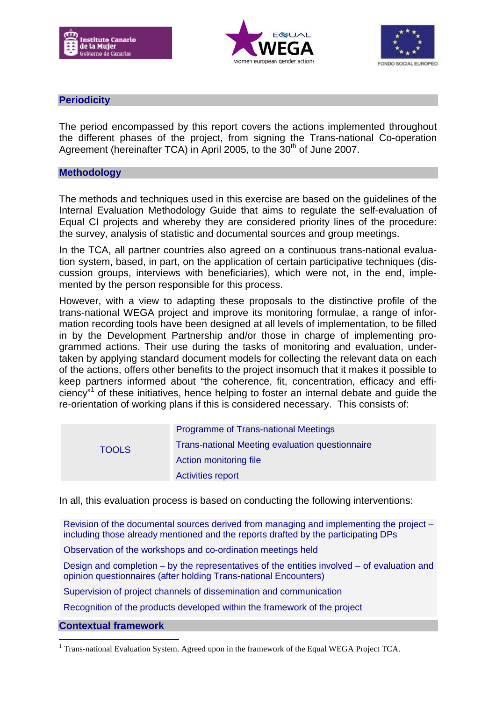





## **Periodicity**

The period encompassed by this report covers the actions implemented throughout the different phases of the project, from signing the Trans-national Co-operation Agreement (hereinafter TCA) in April 2005, to the 30<sup>th</sup> of June 2007.

#### **Methodology**

The methods and techniques used in this exercise are based on the guidelines of the Internal Evaluation Methodology Guide that aims to regulate the self-evaluation of Equal CI projects and whereby they are considered priority lines of the procedure: the survey, analysis of statistic and documental sources and group meetings.

In the TCA, all partner countries also agreed on a continuous trans-national evaluation system, based, in part, on the application of certain participative techniques (discussion groups, interviews with beneficiaries), which were not, in the end, implemented by the person responsible for this process.

However, with a view to adapting these proposals to the distinctive profile of the trans-national WEGA project and improve its monitoring formulae, a range of information recording tools have been designed at all levels of implementation, to be filled in by the Development Partnership and/or those in charge of implementing programmed actions. Their use during the tasks of monitoring and evaluation, undertaken by applying standard document models for collecting the relevant data on each of the actions, offers other benefits to the project insomuch that it makes it possible to keep partners informed about "the coherence, fit, concentration, efficacy and efficiency"<sup>1</sup> of these initiatives, hence helping to foster an internal debate and guide the re-orientation of working plans if this is considered necessary. This consists of:

| <b>TOOLS</b> | <b>Programme of Trans-national Meetings</b>     |
|--------------|-------------------------------------------------|
|              | Trans-national Meeting evaluation questionnaire |
|              | Action monitoring file                          |
|              | <b>Activities report</b>                        |

In all, this evaluation process is based on conducting the following interventions:

Revision of the documental sources derived from managing and implementing the project – including those already mentioned and the reports drafted by the participating DPs

Observation of the workshops and co-ordination meetings held

Design and completion – by the representatives of the entities involved – of evaluation and opinion questionnaires (after holding Trans-national Encounters)

Supervision of project channels of dissemination and communication

Recognition of the products developed within the framework of the project

**Contextual framework**

1

<sup>&</sup>lt;sup>1</sup> Trans-national Evaluation System. Agreed upon in the framework of the Equal WEGA Project TCA.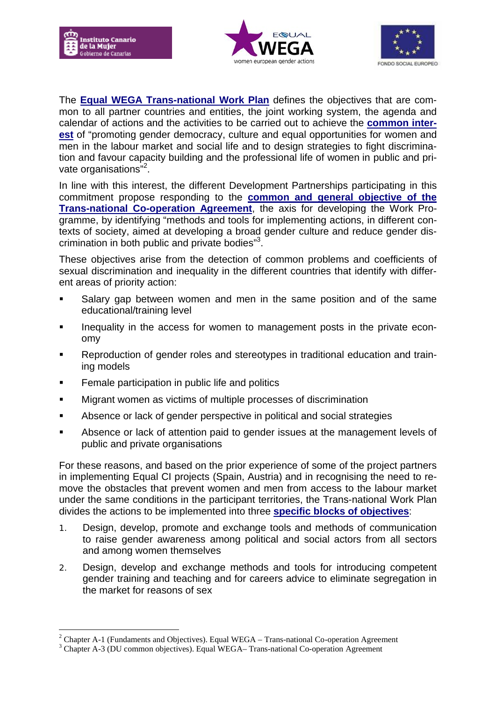

1





The **Equal WEGA Trans-national Work Plan** defines the objectives that are common to all partner countries and entities, the joint working system, the agenda and calendar of actions and the activities to be carried out to achieve the **common interest** of "promoting gender democracy, culture and equal opportunities for women and men in the labour market and social life and to design strategies to fight discrimination and favour capacity building and the professional life of women in public and private organisations"<sup>2</sup>.

In line with this interest, the different Development Partnerships participating in this commitment propose responding to the **common and general objective of the Trans-national Co-operation Agreement**, the axis for developing the Work Programme, by identifying "methods and tools for implementing actions, in different contexts of society, aimed at developing a broad gender culture and reduce gender discrimination in both public and private bodies"<sup>3</sup> .

These objectives arise from the detection of common problems and coefficients of sexual discrimination and inequality in the different countries that identify with different areas of priority action:

- Salary gap between women and men in the same position and of the same educational/training level
- **Inequality in the access for women to management posts in the private econ**omy
- Reproduction of gender roles and stereotypes in traditional education and training models
- **Female participation in public life and politics**
- Migrant women as victims of multiple processes of discrimination
- Absence or lack of gender perspective in political and social strategies
- Absence or lack of attention paid to gender issues at the management levels of public and private organisations

For these reasons, and based on the prior experience of some of the project partners in implementing Equal CI projects (Spain, Austria) and in recognising the need to remove the obstacles that prevent women and men from access to the labour market under the same conditions in the participant territories, the Trans-national Work Plan divides the actions to be implemented into three **specific blocks of objectives**:

- 1. Design, develop, promote and exchange tools and methods of communication to raise gender awareness among political and social actors from all sectors and among women themselves
- 2. Design, develop and exchange methods and tools for introducing competent gender training and teaching and for careers advice to eliminate segregation in the market for reasons of sex

<sup>&</sup>lt;sup>2</sup> Chapter A-1 (Fundaments and Objectives). Equal WEGA – Trans-national Co-operation Agreement

<sup>&</sup>lt;sup>3</sup> Chapter A-3 (DU common objectives). Equal WEGA– Trans-national Co-operation Agreement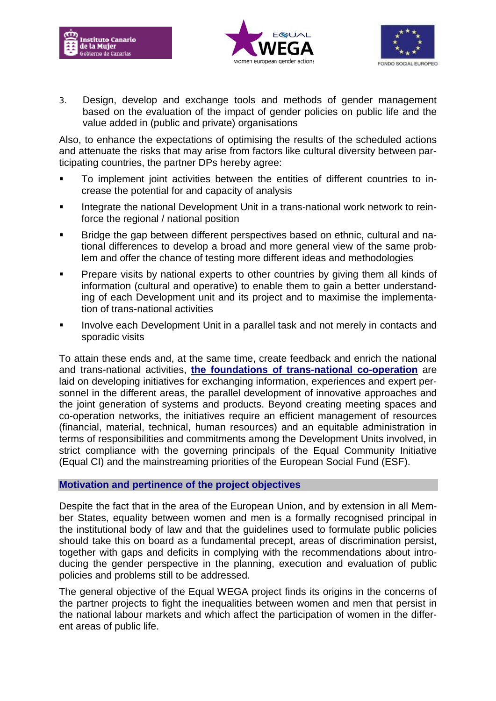





3. Design, develop and exchange tools and methods of gender management based on the evaluation of the impact of gender policies on public life and the value added in (public and private) organisations

Also, to enhance the expectations of optimising the results of the scheduled actions and attenuate the risks that may arise from factors like cultural diversity between participating countries, the partner DPs hereby agree:

- To implement joint activities between the entities of different countries to increase the potential for and capacity of analysis
- Integrate the national Development Unit in a trans-national work network to reinforce the regional / national position
- Bridge the gap between different perspectives based on ethnic, cultural and national differences to develop a broad and more general view of the same problem and offer the chance of testing more different ideas and methodologies
- Prepare visits by national experts to other countries by giving them all kinds of information (cultural and operative) to enable them to gain a better understanding of each Development unit and its project and to maximise the implementation of trans-national activities
- Involve each Development Unit in a parallel task and not merely in contacts and sporadic visits

To attain these ends and, at the same time, create feedback and enrich the national and trans-national activities, **the foundations of trans-national co-operation** are laid on developing initiatives for exchanging information, experiences and expert personnel in the different areas, the parallel development of innovative approaches and the joint generation of systems and products. Beyond creating meeting spaces and co-operation networks, the initiatives require an efficient management of resources (financial, material, technical, human resources) and an equitable administration in terms of responsibilities and commitments among the Development Units involved, in strict compliance with the governing principals of the Equal Community Initiative (Equal CI) and the mainstreaming priorities of the European Social Fund (ESF).

## **Motivation and pertinence of the project objectives**

Despite the fact that in the area of the European Union, and by extension in all Member States, equality between women and men is a formally recognised principal in the institutional body of law and that the guidelines used to formulate public policies should take this on board as a fundamental precept, areas of discrimination persist, together with gaps and deficits in complying with the recommendations about introducing the gender perspective in the planning, execution and evaluation of public policies and problems still to be addressed.

The general objective of the Equal WEGA project finds its origins in the concerns of the partner projects to fight the inequalities between women and men that persist in the national labour markets and which affect the participation of women in the different areas of public life.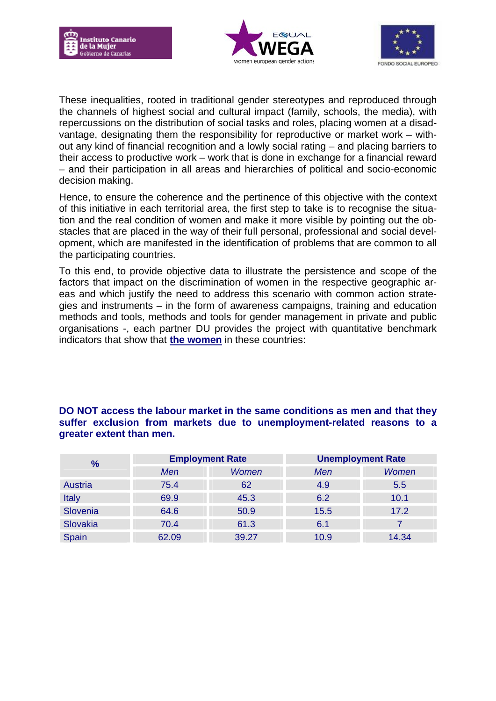





These inequalities, rooted in traditional gender stereotypes and reproduced through the channels of highest social and cultural impact (family, schools, the media), with repercussions on the distribution of social tasks and roles, placing women at a disadvantage, designating them the responsibility for reproductive or market work – without any kind of financial recognition and a lowly social rating – and placing barriers to their access to productive work – work that is done in exchange for a financial reward – and their participation in all areas and hierarchies of political and socio-economic decision making.

Hence, to ensure the coherence and the pertinence of this objective with the context of this initiative in each territorial area, the first step to take is to recognise the situation and the real condition of women and make it more visible by pointing out the obstacles that are placed in the way of their full personal, professional and social development, which are manifested in the identification of problems that are common to all the participating countries.

To this end, to provide objective data to illustrate the persistence and scope of the factors that impact on the discrimination of women in the respective geographic areas and which justify the need to address this scenario with common action strategies and instruments – in the form of awareness campaigns, training and education methods and tools, methods and tools for gender management in private and public organisations -, each partner DU provides the project with quantitative benchmark indicators that show that **the women** in these countries:

## **DO NOT access the labour market in the same conditions as men and that they suffer exclusion from markets due to unemployment-related reasons to a greater extent than men.**

| $\frac{9}{6}$  | <b>Employment Rate</b> |       | <b>Unemployment Rate</b> |              |
|----------------|------------------------|-------|--------------------------|--------------|
|                | Men                    | Women | Men                      | <b>Women</b> |
| <b>Austria</b> | 75.4                   | 62    | 4.9                      | 5.5          |
| <b>Italy</b>   | 69.9                   | 45.3  | 6.2                      | 10.1         |
| Slovenia       | 64.6                   | 50.9  | 15.5                     | 17.2         |
| Slovakia       | 70.4                   | 61.3  | 6.1                      |              |
| Spain          | 62.09                  | 39.27 | 10.9                     | 14.34        |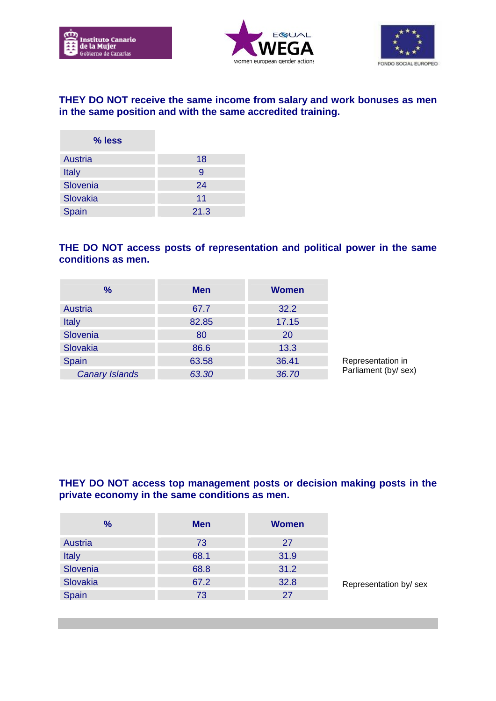

 $\sim$ 





## **THEY DO NOT receive the same income from salary and work bonuses as men in the same position and with the same accredited training.**

| % less   |      |
|----------|------|
| Austria  | 18   |
| Italy    | 9    |
| Slovenia | 24   |
| Slovakia | 11   |
| Spain    | 21.3 |

## **THE DO NOT access posts of representation and political power in the same conditions as men.**

| $\frac{9}{6}$         | <b>Men</b> | <b>Women</b> |                     |
|-----------------------|------------|--------------|---------------------|
| <b>Austria</b>        | 67.7       | 32.2         |                     |
| <b>Italy</b>          | 82.85      | 17.15        |                     |
| Slovenia              | 80         | 20           |                     |
| Slovakia              | 86.6       | 13.3         |                     |
| Spain                 | 63.58      | 36.41        | Representation in   |
| <b>Canary Islands</b> | 63.30      | 36.70        | Parliament (by/sex) |

## **THEY DO NOT access top management posts or decision making posts in the private economy in the same conditions as men.**

| $\frac{9}{6}$ | <b>Men</b> | <b>Women</b> |                       |
|---------------|------------|--------------|-----------------------|
| Austria       | 73         | 27           |                       |
| Italy         | 68.1       | 31.9         |                       |
| Slovenia      | 68.8       | 31.2         |                       |
| Slovakia      | 67.2       | 32.8         | Representation by/sex |
| Spain         | 73         | 27           |                       |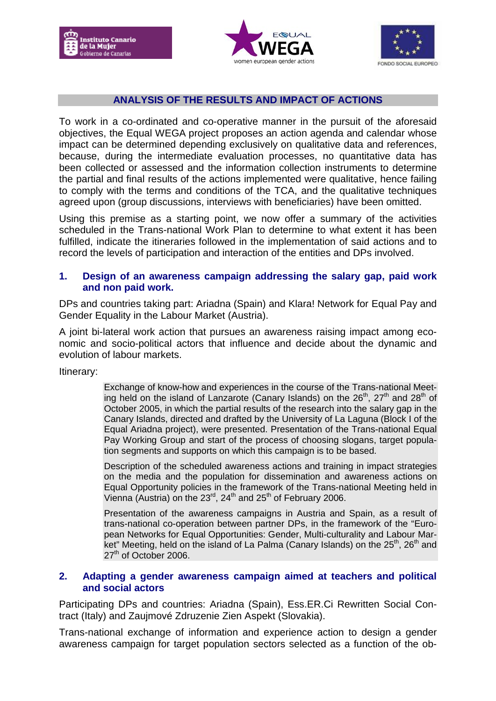





## **ANALYSIS OF THE RESULTS AND IMPACT OF ACTIONS**

To work in a co-ordinated and co-operative manner in the pursuit of the aforesaid objectives, the Equal WEGA project proposes an action agenda and calendar whose impact can be determined depending exclusively on qualitative data and references, because, during the intermediate evaluation processes, no quantitative data has been collected or assessed and the information collection instruments to determine the partial and final results of the actions implemented were qualitative, hence failing to comply with the terms and conditions of the TCA, and the qualitative techniques agreed upon (group discussions, interviews with beneficiaries) have been omitted.

Using this premise as a starting point, we now offer a summary of the activities scheduled in the Trans-national Work Plan to determine to what extent it has been fulfilled, indicate the itineraries followed in the implementation of said actions and to record the levels of participation and interaction of the entities and DPs involved.

#### **1. Design of an awareness campaign addressing the salary gap, paid work and non paid work.**

DPs and countries taking part: Ariadna (Spain) and Klara! Network for Equal Pay and Gender Equality in the Labour Market (Austria).

A joint bi-lateral work action that pursues an awareness raising impact among economic and socio-political actors that influence and decide about the dynamic and evolution of labour markets.

Itinerary:

Exchange of know-how and experiences in the course of the Trans-national Meeting held on the island of Lanzarote (Canary Islands) on the  $26<sup>th</sup>$ ,  $27<sup>th</sup>$  and  $28<sup>th</sup>$  of October 2005, in which the partial results of the research into the salary gap in the Canary Islands, directed and drafted by the University of La Laguna (Block I of the Equal Ariadna project), were presented. Presentation of the Trans-national Equal Pay Working Group and start of the process of choosing slogans, target population segments and supports on which this campaign is to be based.

Description of the scheduled awareness actions and training in impact strategies on the media and the population for dissemination and awareness actions on Equal Opportunity policies in the framework of the Trans-national Meeting held in Vienna (Austria) on the  $23^{\text{rd}}$ ,  $24^{\text{th}}$  and  $25^{\text{th}}$  of February 2006.

Presentation of the awareness campaigns in Austria and Spain, as a result of trans-national co-operation between partner DPs, in the framework of the "European Networks for Equal Opportunities: Gender, Multi-culturality and Labour Market" Meeting, held on the island of La Palma (Canary Islands) on the  $25<sup>th</sup>$ , 26<sup>th</sup> and 27<sup>th</sup> of October 2006.

#### **2. Adapting a gender awareness campaign aimed at teachers and political and social actors**

Participating DPs and countries: Ariadna (Spain), Ess.ER.Ci Rewritten Social Contract (Italy) and Zaujmové Zdruzenie Zien Aspekt (Slovakia).

Trans-national exchange of information and experience action to design a gender awareness campaign for target population sectors selected as a function of the ob-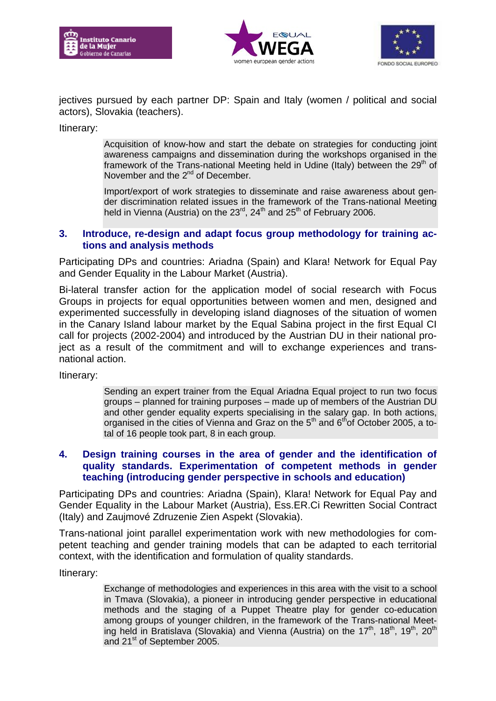





jectives pursued by each partner DP: Spain and Italy (women / political and social actors), Slovakia (teachers).

Itinerary:

Acquisition of know-how and start the debate on strategies for conducting joint awareness campaigns and dissemination during the workshops organised in the framework of the Trans-national Meeting held in Udine (Italy) between the  $29<sup>th</sup>$  of November and the 2<sup>nd</sup> of December.

Import/export of work strategies to disseminate and raise awareness about gender discrimination related issues in the framework of the Trans-national Meeting held in Vienna (Austria) on the  $23<sup>rd</sup>$ ,  $24<sup>th</sup>$  and  $25<sup>th</sup>$  of February 2006.

#### **3. Introduce, re-design and adapt focus group methodology for training actions and analysis methods**

Participating DPs and countries: Ariadna (Spain) and Klara! Network for Equal Pay and Gender Equality in the Labour Market (Austria).

Bi-lateral transfer action for the application model of social research with Focus Groups in projects for equal opportunities between women and men, designed and experimented successfully in developing island diagnoses of the situation of women in the Canary Island labour market by the Equal Sabina project in the first Equal CI call for projects (2002-2004) and introduced by the Austrian DU in their national project as a result of the commitment and will to exchange experiences and transnational action.

Itinerary:

Sending an expert trainer from the Equal Ariadna Equal project to run two focus groups – planned for training purposes – made up of members of the Austrian DU and other gender equality experts specialising in the salary gap. In both actions, organised in the cities of Vienna and Graz on the  $5<sup>th</sup>$  and  $6<sup>th</sup>$ of October 2005, a total of 16 people took part, 8 in each group.

## **4. Design training courses in the area of gender and the identification of quality standards. Experimentation of competent methods in gender teaching (introducing gender perspective in schools and education)**

Participating DPs and countries: Ariadna (Spain), Klara! Network for Equal Pay and Gender Equality in the Labour Market (Austria), Ess.ER.Ci Rewritten Social Contract (Italy) and Zaujmové Zdruzenie Zien Aspekt (Slovakia).

Trans-national joint parallel experimentation work with new methodologies for competent teaching and gender training models that can be adapted to each territorial context, with the identification and formulation of quality standards.

Itinerary:

Exchange of methodologies and experiences in this area with the visit to a school in Tmava (Slovakia), a pioneer in introducing gender perspective in educational methods and the staging of a Puppet Theatre play for gender co-education among groups of younger children, in the framework of the Trans-national Meeting held in Bratislava (Slovakia) and Vienna (Austria) on the  $17<sup>th</sup>$ ,  $18<sup>th</sup>$ ,  $19<sup>th</sup>$ ,  $20<sup>th</sup>$ and 21<sup>st</sup> of September 2005.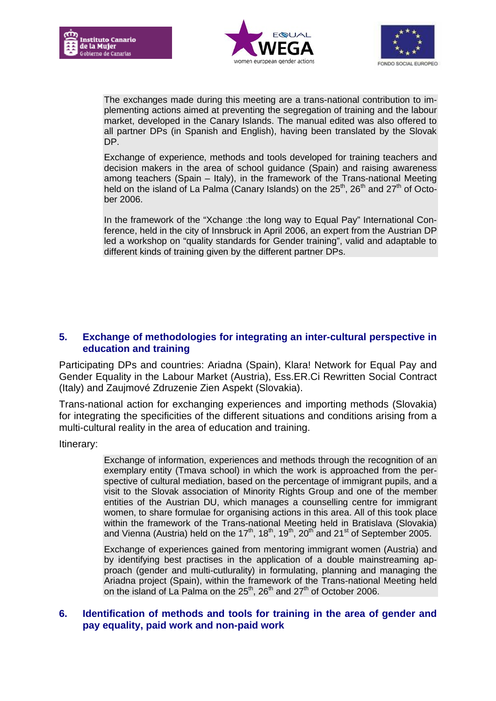





The exchanges made during this meeting are a trans-national contribution to implementing actions aimed at preventing the segregation of training and the labour market, developed in the Canary Islands. The manual edited was also offered to all partner DPs (in Spanish and English), having been translated by the Slovak DP.

Exchange of experience, methods and tools developed for training teachers and decision makers in the area of school guidance (Spain) and raising awareness among teachers (Spain – Italy), in the framework of the Trans-national Meeting held on the island of La Palma (Canary Islands) on the  $25<sup>th</sup>$ ,  $26<sup>th</sup>$  and  $27<sup>th</sup>$  of October 2006.

In the framework of the "Xchange :the long way to Equal Pay" International Conference, held in the city of Innsbruck in April 2006, an expert from the Austrian DP led a workshop on "quality standards for Gender training", valid and adaptable to different kinds of training given by the different partner DPs.

## **5. Exchange of methodologies for integrating an inter-cultural perspective in education and training**

Participating DPs and countries: Ariadna (Spain), Klara! Network for Equal Pay and Gender Equality in the Labour Market (Austria), Ess.ER.Ci Rewritten Social Contract (Italy) and Zaujmové Zdruzenie Zien Aspekt (Slovakia).

Trans-national action for exchanging experiences and importing methods (Slovakia) for integrating the specificities of the different situations and conditions arising from a multi-cultural reality in the area of education and training.

Itinerary:

Exchange of information, experiences and methods through the recognition of an exemplary entity (Tmava school) in which the work is approached from the perspective of cultural mediation, based on the percentage of immigrant pupils, and a visit to the Slovak association of Minority Rights Group and one of the member entities of the Austrian DU, which manages a counselling centre for immigrant women, to share formulae for organising actions in this area. All of this took place within the framework of the Trans-national Meeting held in Bratislava (Slovakia) and Vienna (Austria) held on the 17<sup>th</sup>, 18<sup>th</sup>, 19<sup>th</sup>, 20<sup>th</sup> and 21<sup>st</sup> of September 2005.

Exchange of experiences gained from mentoring immigrant women (Austria) and by identifying best practises in the application of a double mainstreaming approach (gender and multi-cutlurality) in formulating, planning and managing the Ariadna project (Spain), within the framework of the Trans-national Meeting held on the island of La Palma on the  $25<sup>th</sup>$ ,  $26<sup>th</sup>$  and  $27<sup>th</sup>$  of October 2006.

## **6. Identification of methods and tools for training in the area of gender and pay equality, paid work and non-paid work**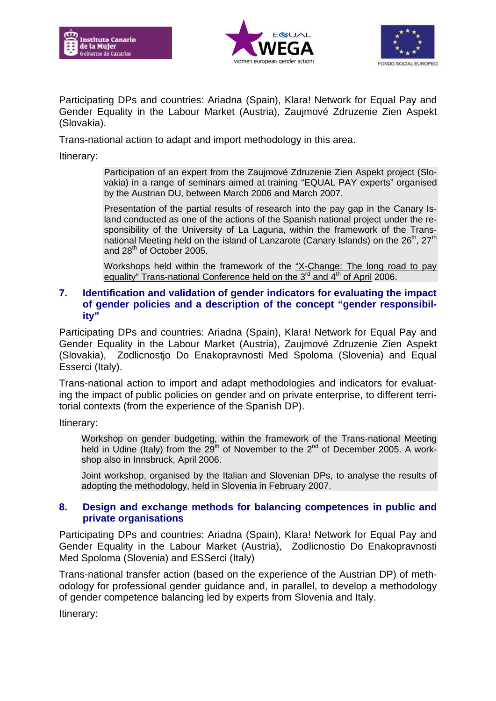





Participating DPs and countries: Ariadna (Spain), Klara! Network for Equal Pay and Gender Equality in the Labour Market (Austria), Zaujmové Zdruzenie Zien Aspekt (Slovakia).

Trans-national action to adapt and import methodology in this area.

Itinerary:

Participation of an expert from the Zaujmové Zdruzenie Zien Aspekt project (Slovakia) in a range of seminars aimed at training "EQUAL PAY experts" organised by the Austrian DU, between March 2006 and March 2007.

Presentation of the partial results of research into the pay gap in the Canary Island conducted as one of the actions of the Spanish national project under the responsibility of the University of La Laguna, within the framework of the Transnational Meeting held on the island of Lanzarote (Canary Islands) on the  $26<sup>th</sup>$ ,  $27<sup>th</sup>$ and 28<sup>th</sup> of October 2005.

Workshops held within the framework of the "X-Change: The long road to pay equality" Trans-national Conference held on the  $3<sup>rd</sup>$  and  $4<sup>th</sup>$  of April 2006.

#### **7. Identification and validation of gender indicators for evaluating the impact of gender policies and a description of the concept "gender responsibility"**

Participating DPs and countries: Ariadna (Spain), Klara! Network for Equal Pay and Gender Equality in the Labour Market (Austria), Zaujmové Zdruzenie Zien Aspekt (Slovakia), Zodlicnostjo Do Enakopravnosti Med Spoloma (Slovenia) and Equal Esserci (Italy).

Trans-national action to import and adapt methodologies and indicators for evaluating the impact of public policies on gender and on private enterprise, to different territorial contexts (from the experience of the Spanish DP).

Itinerary:

Workshop on gender budgeting, within the framework of the Trans-national Meeting held in Udine (Italy) from the 29<sup>th</sup> of November to the 2<sup>nd</sup> of December 2005. A workshop also in Innsbruck, April 2006.

Joint workshop, organised by the Italian and Slovenian DPs, to analyse the results of adopting the methodology, held in Slovenia in February 2007.

#### **8. Design and exchange methods for balancing competences in public and private organisations**

Participating DPs and countries: Ariadna (Spain), Klara! Network for Equal Pay and Gender Equality in the Labour Market (Austria), Zodlicnostio Do Enakopravnosti Med Spoloma (Slovenia) and ESSerci (Italy)

Trans-national transfer action (based on the experience of the Austrian DP) of methodology for professional gender guidance and, in parallel, to develop a methodology of gender competence balancing led by experts from Slovenia and Italy.

Itinerary: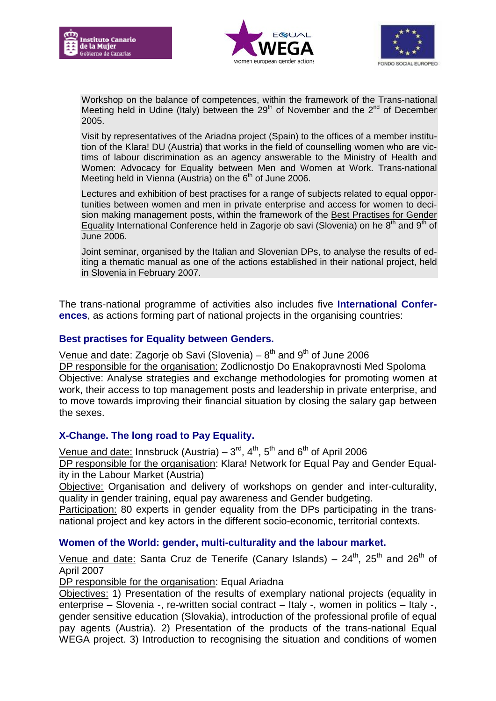





Workshop on the balance of competences, within the framework of the Trans-national Meeting held in Udine (Italy) between the  $29<sup>th</sup>$  of November and the  $2<sup>nd</sup>$  of December 2005.

Visit by representatives of the Ariadna project (Spain) to the offices of a member institution of the Klara! DU (Austria) that works in the field of counselling women who are victims of labour discrimination as an agency answerable to the Ministry of Health and Women: Advocacy for Equality between Men and Women at Work. Trans-national Meeting held in Vienna (Austria) on the  $6<sup>th</sup>$  of June 2006.

Lectures and exhibition of best practises for a range of subjects related to equal opportunities between women and men in private enterprise and access for women to decision making management posts, within the framework of the Best Practises for Gender Equality International Conference held in Zagorje ob savi (Slovenia) on he  $8<sup>th</sup>$  and  $9<sup>th</sup>$  of June 2006.

Joint seminar, organised by the Italian and Slovenian DPs, to analyse the results of editing a thematic manual as one of the actions established in their national project, held in Slovenia in February 2007.

The trans-national programme of activities also includes five **International Conferences**, as actions forming part of national projects in the organising countries:

## **Best practises for Equality between Genders.**

Venue and date: Zagorje ob Savi (Slovenia) –  $8<sup>th</sup>$  and  $9<sup>th</sup>$  of June 2006 DP responsible for the organisation: Zodlicnostjo Do Enakopravnosti Med Spoloma Objective: Analyse strategies and exchange methodologies for promoting women at work, their access to top management posts and leadership in private enterprise, and to move towards improving their financial situation by closing the salary gap between the sexes.

## **X-Change. The long road to Pay Equality.**

Venue and date: Innsbruck (Austria) –  $3^{\text{rd}}, 4^{\text{th}}, 5^{\text{th}}$  and  $6^{\text{th}}$  of April 2006 DP responsible for the organisation: Klara! Network for Equal Pay and Gender Equality in the Labour Market (Austria)

Objective: Organisation and delivery of workshops on gender and inter-culturality, quality in gender training, equal pay awareness and Gender budgeting.

Participation: 80 experts in gender equality from the DPs participating in the transnational project and key actors in the different socio-economic, territorial contexts.

## **Women of the World: gender, multi-culturality and the labour market.**

Venue and date: Santa Cruz de Tenerife (Canary Islands) –  $24^{th}$ ,  $25^{th}$  and  $26^{th}$  of April 2007

DP responsible for the organisation: Equal Ariadna

Objectives: 1) Presentation of the results of exemplary national projects (equality in enterprise – Slovenia -, re-written social contract – Italy -, women in politics – Italy -, gender sensitive education (Slovakia), introduction of the professional profile of equal pay agents (Austria). 2) Presentation of the products of the trans-national Equal WEGA project. 3) Introduction to recognising the situation and conditions of women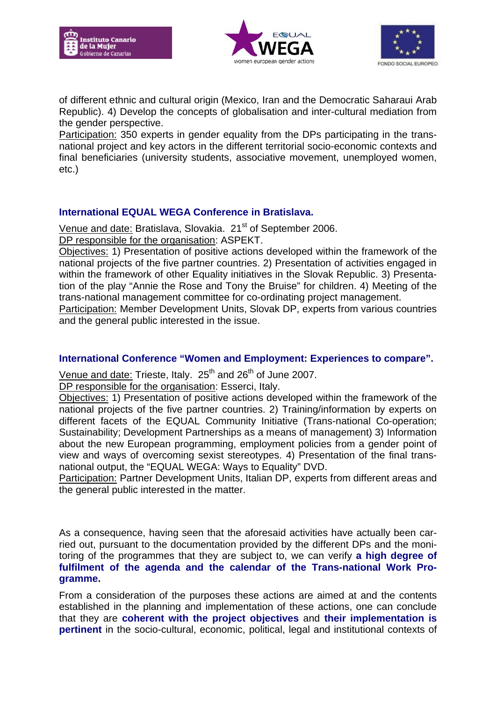





of different ethnic and cultural origin (Mexico, Iran and the Democratic Saharaui Arab Republic). 4) Develop the concepts of globalisation and inter-cultural mediation from the gender perspective.

Participation: 350 experts in gender equality from the DPs participating in the transnational project and key actors in the different territorial socio-economic contexts and final beneficiaries (university students, associative movement, unemployed women, etc.)

## **International EQUAL WEGA Conference in Bratislava.**

Venue and date: Bratislava, Slovakia. 21<sup>st</sup> of September 2006. DP responsible for the organisation: ASPEKT.

Objectives: 1) Presentation of positive actions developed within the framework of the national projects of the five partner countries. 2) Presentation of activities engaged in within the framework of other Equality initiatives in the Slovak Republic. 3) Presentation of the play "Annie the Rose and Tony the Bruise" for children. 4) Meeting of the trans-national management committee for co-ordinating project management.

Participation: Member Development Units, Slovak DP, experts from various countries and the general public interested in the issue.

## **International Conference "Women and Employment: Experiences to compare".**

Venue and date: Trieste, Italy. 25<sup>th</sup> and 26<sup>th</sup> of June 2007.

DP responsible for the organisation: Esserci, Italy.

Objectives: 1) Presentation of positive actions developed within the framework of the national projects of the five partner countries. 2) Training/information by experts on different facets of the EQUAL Community Initiative (Trans-national Co-operation; Sustainability; Development Partnerships as a means of management) 3) Information about the new European programming, employment policies from a gender point of view and ways of overcoming sexist stereotypes. 4) Presentation of the final transnational output, the "EQUAL WEGA: Ways to Equality" DVD.

Participation: Partner Development Units, Italian DP, experts from different areas and the general public interested in the matter.

As a consequence, having seen that the aforesaid activities have actually been carried out, pursuant to the documentation provided by the different DPs and the monitoring of the programmes that they are subject to, we can verify **a high degree of fulfilment of the agenda and the calendar of the Trans-national Work Programme.** 

From a consideration of the purposes these actions are aimed at and the contents established in the planning and implementation of these actions, one can conclude that they are **coherent with the project objectives** and **their implementation is pertinent** in the socio-cultural, economic, political, legal and institutional contexts of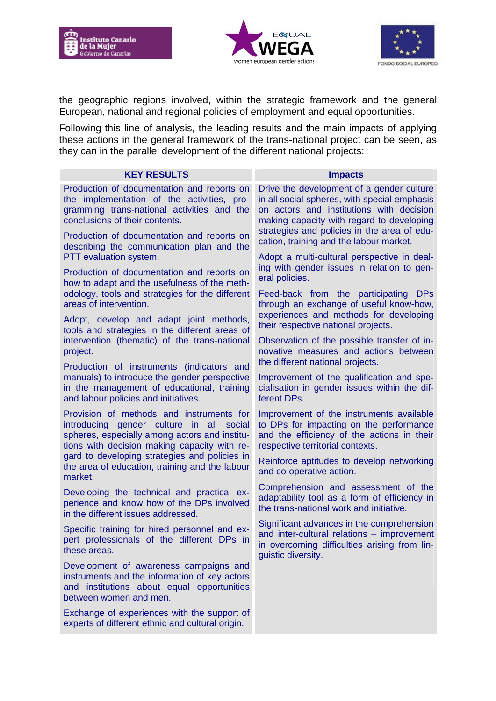





the geographic regions involved, within the strategic framework and the general European, national and regional policies of employment and equal opportunities.

Following this line of analysis, the leading results and the main impacts of applying these actions in the general framework of the trans-national project can be seen, as they can in the parallel development of the different national projects:

| <b>KEY RESULTS</b>                                                                                                                                                                    | <b>Impacts</b>                                                                                                                                                                                                                                                                                                              |  |
|---------------------------------------------------------------------------------------------------------------------------------------------------------------------------------------|-----------------------------------------------------------------------------------------------------------------------------------------------------------------------------------------------------------------------------------------------------------------------------------------------------------------------------|--|
| Production of documentation and reports on<br>the implementation of the activities, pro-<br>gramming trans-national activities and the<br>conclusions of their contents.              | Drive the development of a gender culture<br>in all social spheres, with special emphasis<br>on actors and institutions with decision<br>making capacity with regard to developing<br>strategies and policies in the area of edu-<br>cation, training and the labour market.<br>Adopt a multi-cultural perspective in deal- |  |
| Production of documentation and reports on<br>describing the communication plan and the<br>PTT evaluation system.                                                                     |                                                                                                                                                                                                                                                                                                                             |  |
| Production of documentation and reports on<br>how to adapt and the usefulness of the meth-                                                                                            | ing with gender issues in relation to gen-<br>eral policies.                                                                                                                                                                                                                                                                |  |
| odology, tools and strategies for the different<br>areas of intervention.                                                                                                             | Feed-back from the participating DPs<br>through an exchange of useful know-how.<br>experiences and methods for developing                                                                                                                                                                                                   |  |
| Adopt, develop and adapt joint methods,<br>tools and strategies in the different areas of                                                                                             | their respective national projects.                                                                                                                                                                                                                                                                                         |  |
| intervention (thematic) of the trans-national<br>project.                                                                                                                             | Observation of the possible transfer of in-<br>novative measures and actions between<br>the different national projects.                                                                                                                                                                                                    |  |
| Production of instruments (indicators and<br>manuals) to introduce the gender perspective<br>in the management of educational, training<br>and labour policies and initiatives.       | Improvement of the qualification and spe-<br>cialisation in gender issues within the dif-<br>ferent DPs.                                                                                                                                                                                                                    |  |
| Provision of methods and instruments for<br>introducing gender culture in all social<br>spheres, especially among actors and institu-<br>tions with decision making capacity with re- | Improvement of the instruments available<br>to DPs for impacting on the performance<br>and the efficiency of the actions in their<br>respective territorial contexts.                                                                                                                                                       |  |
| gard to developing strategies and policies in<br>the area of education, training and the labour<br>market.                                                                            | Reinforce aptitudes to develop networking<br>and co-operative action.                                                                                                                                                                                                                                                       |  |
| Developing the technical and practical ex-<br>perience and know how of the DPs involved<br>in the different issues addressed.                                                         | Comprehension and assessment of the<br>adaptability tool as a form of efficiency in<br>the trans-national work and initiative.                                                                                                                                                                                              |  |
| Specific training for hired personnel and ex-<br>pert professionals of the different DPs in<br>these areas.                                                                           | Significant advances in the comprehension<br>and inter-cultural relations - improvement<br>in overcoming difficulties arising from lin-<br>quistic diversity.                                                                                                                                                               |  |
| Development of awareness campaigns and<br>instruments and the information of key actors<br>and institutions about equal opportunities<br>between women and men.                       |                                                                                                                                                                                                                                                                                                                             |  |
| Exchange of experiences with the support of<br>experts of different ethnic and cultural origin.                                                                                       |                                                                                                                                                                                                                                                                                                                             |  |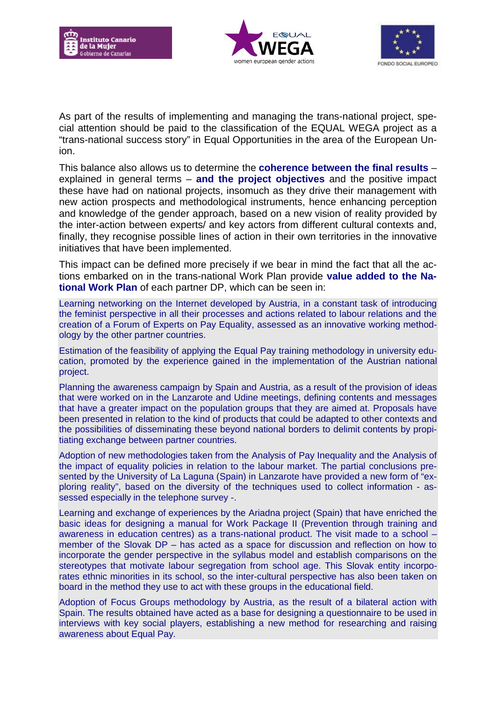





As part of the results of implementing and managing the trans-national project, special attention should be paid to the classification of the EQUAL WEGA project as a "trans-national success story" in Equal Opportunities in the area of the European Union.

This balance also allows us to determine the **coherence between the final results** – explained in general terms – **and the project objectives** and the positive impact these have had on national projects, insomuch as they drive their management with new action prospects and methodological instruments, hence enhancing perception and knowledge of the gender approach, based on a new vision of reality provided by the inter-action between experts/ and key actors from different cultural contexts and, finally, they recognise possible lines of action in their own territories in the innovative initiatives that have been implemented.

This impact can be defined more precisely if we bear in mind the fact that all the actions embarked on in the trans-national Work Plan provide **value added to the National Work Plan** of each partner DP, which can be seen in:

Learning networking on the Internet developed by Austria, in a constant task of introducing the feminist perspective in all their processes and actions related to labour relations and the creation of a Forum of Experts on Pay Equality, assessed as an innovative working methodology by the other partner countries.

Estimation of the feasibility of applying the Equal Pay training methodology in university education, promoted by the experience gained in the implementation of the Austrian national project.

Planning the awareness campaign by Spain and Austria, as a result of the provision of ideas that were worked on in the Lanzarote and Udine meetings, defining contents and messages that have a greater impact on the population groups that they are aimed at. Proposals have been presented in relation to the kind of products that could be adapted to other contexts and the possibilities of disseminating these beyond national borders to delimit contents by propitiating exchange between partner countries.

Adoption of new methodologies taken from the Analysis of Pay Inequality and the Analysis of the impact of equality policies in relation to the labour market. The partial conclusions presented by the University of La Laguna (Spain) in Lanzarote have provided a new form of "exploring reality", based on the diversity of the techniques used to collect information - assessed especially in the telephone survey -.

Learning and exchange of experiences by the Ariadna project (Spain) that have enriched the basic ideas for designing a manual for Work Package II (Prevention through training and awareness in education centres) as a trans-national product. The visit made to a school – member of the Slovak DP – has acted as a space for discussion and reflection on how to incorporate the gender perspective in the syllabus model and establish comparisons on the stereotypes that motivate labour segregation from school age. This Slovak entity incorporates ethnic minorities in its school, so the inter-cultural perspective has also been taken on board in the method they use to act with these groups in the educational field.

Adoption of Focus Groups methodology by Austria, as the result of a bilateral action with Spain. The results obtained have acted as a base for designing a questionnaire to be used in interviews with key social players, establishing a new method for researching and raising awareness about Equal Pay.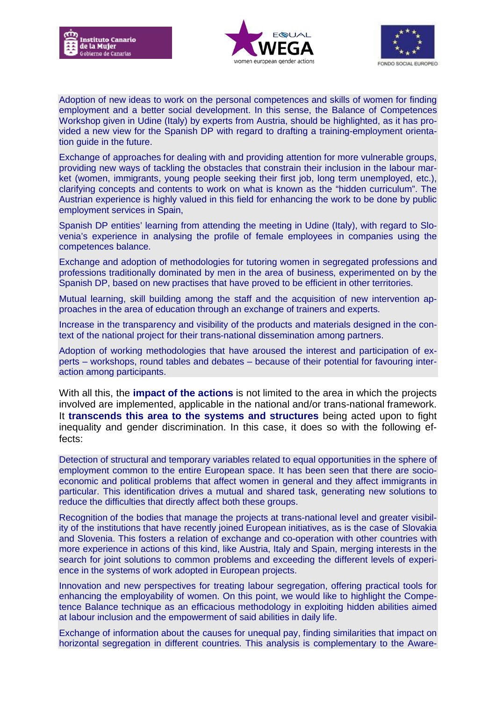





Adoption of new ideas to work on the personal competences and skills of women for finding employment and a better social development. In this sense, the Balance of Competences Workshop given in Udine (Italy) by experts from Austria, should be highlighted, as it has provided a new view for the Spanish DP with regard to drafting a training-employment orientation guide in the future.

Exchange of approaches for dealing with and providing attention for more vulnerable groups, providing new ways of tackling the obstacles that constrain their inclusion in the labour market (women, immigrants, young people seeking their first job, long term unemployed, etc.), clarifying concepts and contents to work on what is known as the "hidden curriculum". The Austrian experience is highly valued in this field for enhancing the work to be done by public employment services in Spain,

Spanish DP entities' learning from attending the meeting in Udine (Italy), with regard to Slovenia's experience in analysing the profile of female employees in companies using the competences balance.

Exchange and adoption of methodologies for tutoring women in segregated professions and professions traditionally dominated by men in the area of business, experimented on by the Spanish DP, based on new practises that have proved to be efficient in other territories.

Mutual learning, skill building among the staff and the acquisition of new intervention approaches in the area of education through an exchange of trainers and experts.

Increase in the transparency and visibility of the products and materials designed in the context of the national project for their trans-national dissemination among partners.

Adoption of working methodologies that have aroused the interest and participation of experts – workshops, round tables and debates – because of their potential for favouring interaction among participants.

With all this, the **impact of the actions** is not limited to the area in which the projects involved are implemented, applicable in the national and/or trans-national framework. It **transcends this area to the systems and structures** being acted upon to fight inequality and gender discrimination. In this case, it does so with the following effects:

Detection of structural and temporary variables related to equal opportunities in the sphere of employment common to the entire European space. It has been seen that there are socioeconomic and political problems that affect women in general and they affect immigrants in particular. This identification drives a mutual and shared task, generating new solutions to reduce the difficulties that directly affect both these groups.

Recognition of the bodies that manage the projects at trans-national level and greater visibility of the institutions that have recently joined European initiatives, as is the case of Slovakia and Slovenia. This fosters a relation of exchange and co-operation with other countries with more experience in actions of this kind, like Austria, Italy and Spain, merging interests in the search for joint solutions to common problems and exceeding the different levels of experience in the systems of work adopted in European projects.

Innovation and new perspectives for treating labour segregation, offering practical tools for enhancing the employability of women. On this point, we would like to highlight the Competence Balance technique as an efficacious methodology in exploiting hidden abilities aimed at labour inclusion and the empowerment of said abilities in daily life.

Exchange of information about the causes for unequal pay, finding similarities that impact on horizontal segregation in different countries. This analysis is complementary to the Aware-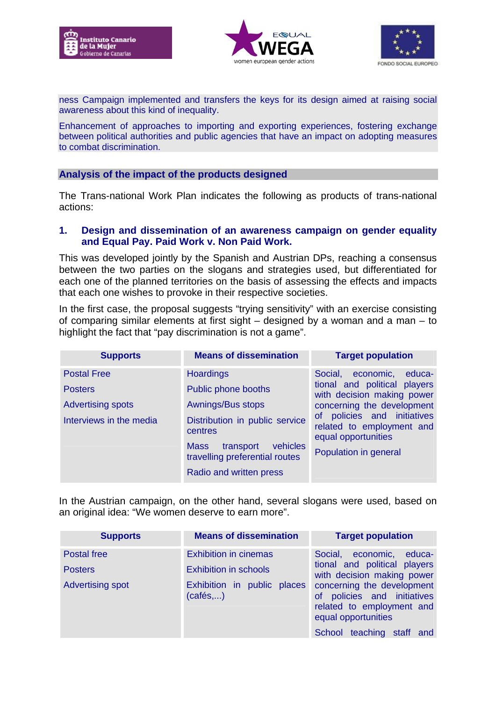





ness Campaign implemented and transfers the keys for its design aimed at raising social awareness about this kind of inequality.

Enhancement of approaches to importing and exporting experiences, fostering exchange between political authorities and public agencies that have an impact on adopting measures to combat discrimination.

#### **Analysis of the impact of the products designed**

The Trans-national Work Plan indicates the following as products of trans-national actions:

#### **1. Design and dissemination of an awareness campaign on gender equality and Equal Pay. Paid Work v. Non Paid Work.**

This was developed jointly by the Spanish and Austrian DPs, reaching a consensus between the two parties on the slogans and strategies used, but differentiated for each one of the planned territories on the basis of assessing the effects and impacts that each one wishes to provoke in their respective societies.

In the first case, the proposal suggests "trying sensitivity" with an exercise consisting of comparing similar elements at first sight – designed by a woman and a man – to highlight the fact that "pay discrimination is not a game".

| <b>Supports</b>                                     | <b>Means of dissemination</b>                                                                                                                                       | <b>Target population</b>                                                                                                               |
|-----------------------------------------------------|---------------------------------------------------------------------------------------------------------------------------------------------------------------------|----------------------------------------------------------------------------------------------------------------------------------------|
| <b>Postal Free</b><br><b>Posters</b>                | <b>Hoardings</b><br>Public phone booths                                                                                                                             | Social, economic,<br>educa-<br>tional and political players<br>with decision making power                                              |
| <b>Advertising spots</b><br>Interviews in the media | Awnings/Bus stops<br>Distribution in public service<br>centres<br>vehicles<br><b>Mass</b><br>transport<br>travelling preferential routes<br>Radio and written press | concerning the development<br>of policies and initiatives<br>related to employment and<br>equal opportunities<br>Population in general |

In the Austrian campaign, on the other hand, several slogans were used, based on an original idea: "We women deserve to earn more".

| <b>Supports</b>         | <b>Means of dissemination</b>           | <b>Target population</b>                                                                                                                   |
|-------------------------|-----------------------------------------|--------------------------------------------------------------------------------------------------------------------------------------------|
| Postal free             | <b>Exhibition in cinemas</b>            | Social, economic, educa-                                                                                                                   |
| <b>Posters</b>          | <b>Exhibition in schools</b>            | tional and political players<br>with decision making power                                                                                 |
| <b>Advertising spot</b> | Exhibition in public places<br>(cafés,) | concerning the development<br>of policies and initiatives<br>related to employment and<br>equal opportunities<br>School teaching staff and |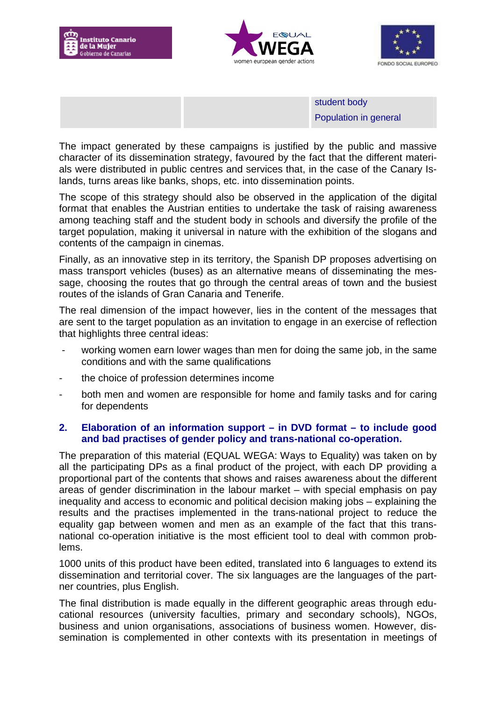





student body Population in general

The impact generated by these campaigns is justified by the public and massive character of its dissemination strategy, favoured by the fact that the different materials were distributed in public centres and services that, in the case of the Canary Islands, turns areas like banks, shops, etc. into dissemination points.

The scope of this strategy should also be observed in the application of the digital format that enables the Austrian entities to undertake the task of raising awareness among teaching staff and the student body in schools and diversify the profile of the target population, making it universal in nature with the exhibition of the slogans and contents of the campaign in cinemas.

Finally, as an innovative step in its territory, the Spanish DP proposes advertising on mass transport vehicles (buses) as an alternative means of disseminating the message, choosing the routes that go through the central areas of town and the busiest routes of the islands of Gran Canaria and Tenerife.

The real dimension of the impact however, lies in the content of the messages that are sent to the target population as an invitation to engage in an exercise of reflection that highlights three central ideas:

- working women earn lower wages than men for doing the same job, in the same conditions and with the same qualifications
- the choice of profession determines income
- both men and women are responsible for home and family tasks and for caring for dependents

## **2. Elaboration of an information support – in DVD format – to include good and bad practises of gender policy and trans-national co-operation.**

The preparation of this material (EQUAL WEGA: Ways to Equality) was taken on by all the participating DPs as a final product of the project, with each DP providing a proportional part of the contents that shows and raises awareness about the different areas of gender discrimination in the labour market – with special emphasis on pay inequality and access to economic and political decision making jobs – explaining the results and the practises implemented in the trans-national project to reduce the equality gap between women and men as an example of the fact that this transnational co-operation initiative is the most efficient tool to deal with common problems.

1000 units of this product have been edited, translated into 6 languages to extend its dissemination and territorial cover. The six languages are the languages of the partner countries, plus English.

The final distribution is made equally in the different geographic areas through educational resources (university faculties, primary and secondary schools), NGOs, business and union organisations, associations of business women. However, dissemination is complemented in other contexts with its presentation in meetings of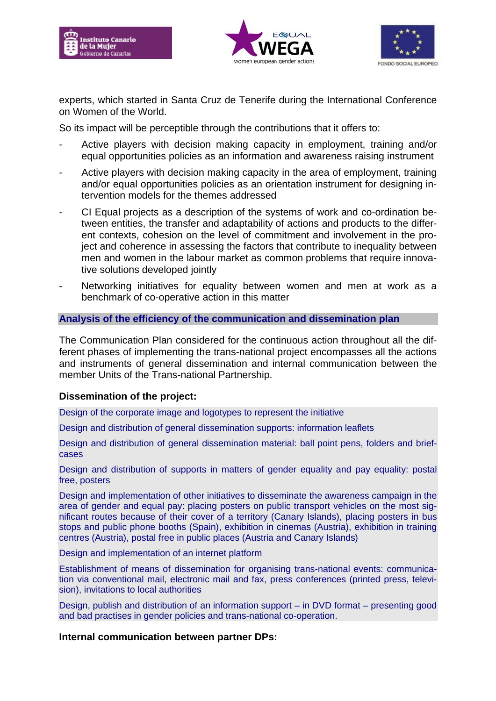





experts, which started in Santa Cruz de Tenerife during the International Conference on Women of the World.

So its impact will be perceptible through the contributions that it offers to:

- Active players with decision making capacity in employment, training and/or equal opportunities policies as an information and awareness raising instrument
- Active players with decision making capacity in the area of employment, training and/or equal opportunities policies as an orientation instrument for designing intervention models for the themes addressed
- CI Equal projects as a description of the systems of work and co-ordination between entities, the transfer and adaptability of actions and products to the different contexts, cohesion on the level of commitment and involvement in the project and coherence in assessing the factors that contribute to inequality between men and women in the labour market as common problems that require innovative solutions developed jointly
- Networking initiatives for equality between women and men at work as a benchmark of co-operative action in this matter

#### **Analysis of the efficiency of the communication and dissemination plan**

The Communication Plan considered for the continuous action throughout all the different phases of implementing the trans-national project encompasses all the actions and instruments of general dissemination and internal communication between the member Units of the Trans-national Partnership.

#### **Dissemination of the project:**

Design of the corporate image and logotypes to represent the initiative

Design and distribution of general dissemination supports: information leaflets

Design and distribution of general dissemination material: ball point pens, folders and briefcases

Design and distribution of supports in matters of gender equality and pay equality: postal free, posters

Design and implementation of other initiatives to disseminate the awareness campaign in the area of gender and equal pay: placing posters on public transport vehicles on the most significant routes because of their cover of a territory (Canary Islands), placing posters in bus stops and public phone booths (Spain), exhibition in cinemas (Austria), exhibition in training centres (Austria), postal free in public places (Austria and Canary Islands)

Design and implementation of an internet platform

Establishment of means of dissemination for organising trans-national events: communication via conventional mail, electronic mail and fax, press conferences (printed press, television), invitations to local authorities

Design, publish and distribution of an information support – in DVD format – presenting good and bad practises in gender policies and trans-national co-operation.

#### **Internal communication between partner DPs:**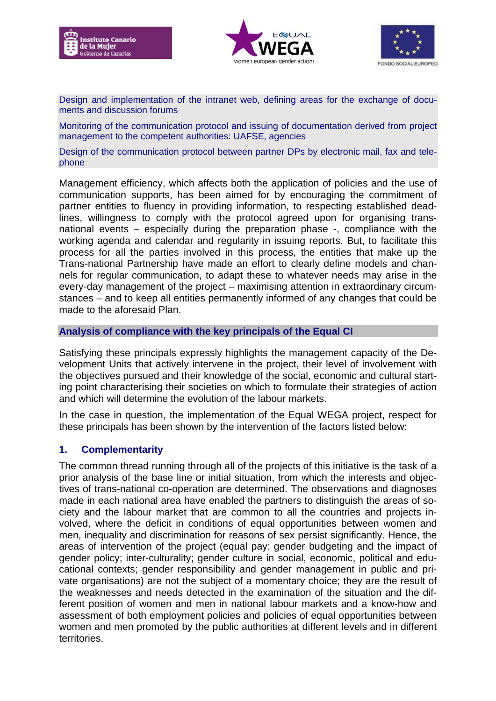





Design and implementation of the intranet web, defining areas for the exchange of documents and discussion forums

Monitoring of the communication protocol and issuing of documentation derived from project management to the competent authorities: UAFSE, agencies

Design of the communication protocol between partner DPs by electronic mail, fax and telephone

Management efficiency, which affects both the application of policies and the use of communication supports, has been aimed for by encouraging the commitment of partner entities to fluency in providing information, to respecting established deadlines, willingness to comply with the protocol agreed upon for organising transnational events – especially during the preparation phase -, compliance with the working agenda and calendar and regularity in issuing reports. But, to facilitate this process for all the parties involved in this process, the entities that make up the Trans-national Partnership have made an effort to clearly define models and channels for regular communication, to adapt these to whatever needs may arise in the every-day management of the project – maximising attention in extraordinary circumstances – and to keep all entities permanently informed of any changes that could be made to the aforesaid Plan.

## **Analysis of compliance with the key principals of the Equal CI**

Satisfying these principals expressly highlights the management capacity of the Development Units that actively intervene in the project, their level of involvement with the objectives pursued and their knowledge of the social, economic and cultural starting point characterising their societies on which to formulate their strategies of action and which will determine the evolution of the labour markets.

In the case in question, the implementation of the Equal WEGA project, respect for these principals has been shown by the intervention of the factors listed below:

## **1. Complementarity**

The common thread running through all of the projects of this initiative is the task of a prior analysis of the base line or initial situation, from which the interests and objectives of trans-national co-operation are determined. The observations and diagnoses made in each national area have enabled the partners to distinguish the areas of society and the labour market that are common to all the countries and projects involved, where the deficit in conditions of equal opportunities between women and men, inequality and discrimination for reasons of sex persist significantly. Hence, the areas of intervention of the project (equal pay: gender budgeting and the impact of gender policy; inter-culturality; gender culture in social, economic, political and educational contexts; gender responsibility and gender management in public and private organisations) are not the subject of a momentary choice; they are the result of the weaknesses and needs detected in the examination of the situation and the different position of women and men in national labour markets and a know-how and assessment of both employment policies and policies of equal opportunities between women and men promoted by the public authorities at different levels and in different territories.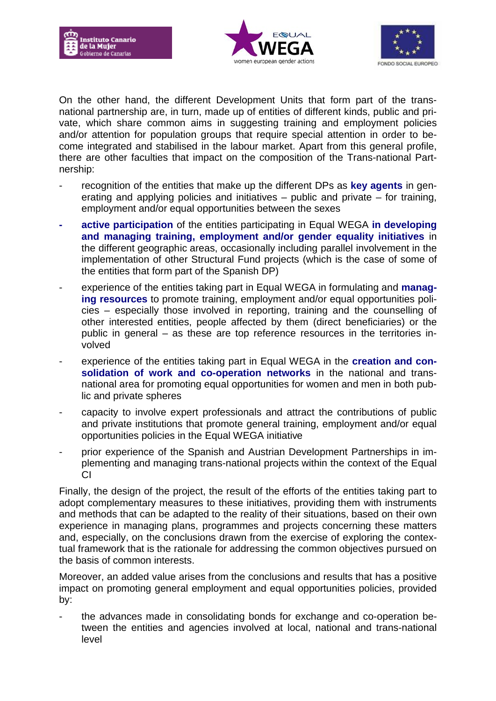





On the other hand, the different Development Units that form part of the transnational partnership are, in turn, made up of entities of different kinds, public and private, which share common aims in suggesting training and employment policies and/or attention for population groups that require special attention in order to become integrated and stabilised in the labour market. Apart from this general profile, there are other faculties that impact on the composition of the Trans-national Partnership:

- recognition of the entities that make up the different DPs as **key agents** in generating and applying policies and initiatives – public and private – for training, employment and/or equal opportunities between the sexes
- **- active participation** of the entities participating in Equal WEGA **in developing and managing training, employment and/or gender equality initiatives** in the different geographic areas, occasionally including parallel involvement in the implementation of other Structural Fund projects (which is the case of some of the entities that form part of the Spanish DP)
- experience of the entities taking part in Equal WEGA in formulating and **managing resources** to promote training, employment and/or equal opportunities policies – especially those involved in reporting, training and the counselling of other interested entities, people affected by them (direct beneficiaries) or the public in general – as these are top reference resources in the territories involved
- experience of the entities taking part in Equal WEGA in the **creation and consolidation of work and co-operation networks** in the national and transnational area for promoting equal opportunities for women and men in both public and private spheres
- capacity to involve expert professionals and attract the contributions of public and private institutions that promote general training, employment and/or equal opportunities policies in the Equal WEGA initiative
- prior experience of the Spanish and Austrian Development Partnerships in implementing and managing trans-national projects within the context of the Equal CI

Finally, the design of the project, the result of the efforts of the entities taking part to adopt complementary measures to these initiatives, providing them with instruments and methods that can be adapted to the reality of their situations, based on their own experience in managing plans, programmes and projects concerning these matters and, especially, on the conclusions drawn from the exercise of exploring the contextual framework that is the rationale for addressing the common objectives pursued on the basis of common interests.

Moreover, an added value arises from the conclusions and results that has a positive impact on promoting general employment and equal opportunities policies, provided by:

the advances made in consolidating bonds for exchange and co-operation between the entities and agencies involved at local, national and trans-national level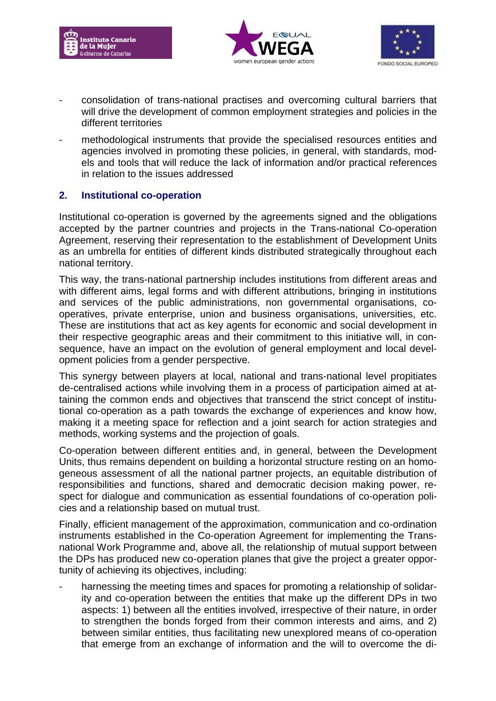





- consolidation of trans-national practises and overcoming cultural barriers that will drive the development of common employment strategies and policies in the different territories
- methodological instruments that provide the specialised resources entities and agencies involved in promoting these policies, in general, with standards, models and tools that will reduce the lack of information and/or practical references in relation to the issues addressed

## **2. Institutional co-operation**

Institutional co-operation is governed by the agreements signed and the obligations accepted by the partner countries and projects in the Trans-national Co-operation Agreement, reserving their representation to the establishment of Development Units as an umbrella for entities of different kinds distributed strategically throughout each national territory.

This way, the trans-national partnership includes institutions from different areas and with different aims, legal forms and with different attributions, bringing in institutions and services of the public administrations, non governmental organisations, cooperatives, private enterprise, union and business organisations, universities, etc. These are institutions that act as key agents for economic and social development in their respective geographic areas and their commitment to this initiative will, in consequence, have an impact on the evolution of general employment and local development policies from a gender perspective.

This synergy between players at local, national and trans-national level propitiates de-centralised actions while involving them in a process of participation aimed at attaining the common ends and objectives that transcend the strict concept of institutional co-operation as a path towards the exchange of experiences and know how, making it a meeting space for reflection and a joint search for action strategies and methods, working systems and the projection of goals.

Co-operation between different entities and, in general, between the Development Units, thus remains dependent on building a horizontal structure resting on an homogeneous assessment of all the national partner projects, an equitable distribution of responsibilities and functions, shared and democratic decision making power, respect for dialogue and communication as essential foundations of co-operation policies and a relationship based on mutual trust.

Finally, efficient management of the approximation, communication and co-ordination instruments established in the Co-operation Agreement for implementing the Transnational Work Programme and, above all, the relationship of mutual support between the DPs has produced new co-operation planes that give the project a greater opportunity of achieving its objectives, including:

harnessing the meeting times and spaces for promoting a relationship of solidarity and co-operation between the entities that make up the different DPs in two aspects: 1) between all the entities involved, irrespective of their nature, in order to strengthen the bonds forged from their common interests and aims, and 2) between similar entities, thus facilitating new unexplored means of co-operation that emerge from an exchange of information and the will to overcome the di-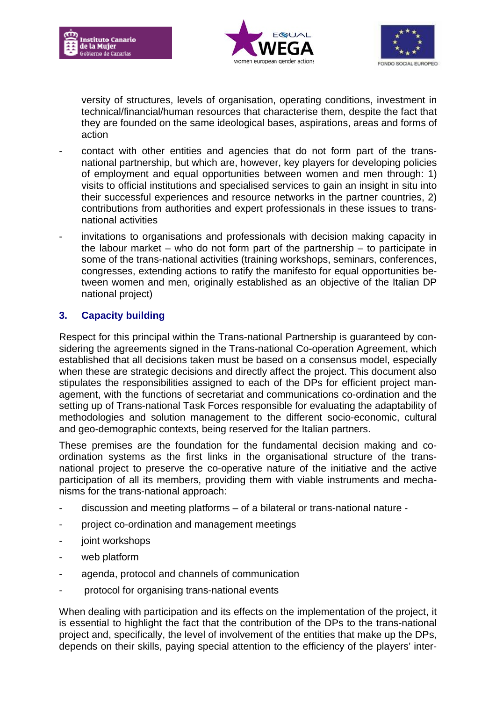





versity of structures, levels of organisation, operating conditions, investment in technical/financial/human resources that characterise them, despite the fact that they are founded on the same ideological bases, aspirations, areas and forms of action

- contact with other entities and agencies that do not form part of the transnational partnership, but which are, however, key players for developing policies of employment and equal opportunities between women and men through: 1) visits to official institutions and specialised services to gain an insight in situ into their successful experiences and resource networks in the partner countries, 2) contributions from authorities and expert professionals in these issues to transnational activities
- invitations to organisations and professionals with decision making capacity in the labour market – who do not form part of the partnership – to participate in some of the trans-national activities (training workshops, seminars, conferences, congresses, extending actions to ratify the manifesto for equal opportunities between women and men, originally established as an objective of the Italian DP national project)

## **3. Capacity building**

Respect for this principal within the Trans-national Partnership is guaranteed by considering the agreements signed in the Trans-national Co-operation Agreement, which established that all decisions taken must be based on a consensus model, especially when these are strategic decisions and directly affect the project. This document also stipulates the responsibilities assigned to each of the DPs for efficient project management, with the functions of secretariat and communications co-ordination and the setting up of Trans-national Task Forces responsible for evaluating the adaptability of methodologies and solution management to the different socio-economic, cultural and geo-demographic contexts, being reserved for the Italian partners.

These premises are the foundation for the fundamental decision making and coordination systems as the first links in the organisational structure of the transnational project to preserve the co-operative nature of the initiative and the active participation of all its members, providing them with viable instruments and mechanisms for the trans-national approach:

- discussion and meeting platforms of a bilateral or trans-national nature -
- project co-ordination and management meetings
- joint workshops
- web platform
- agenda, protocol and channels of communication
- protocol for organising trans-national events

When dealing with participation and its effects on the implementation of the project, it is essential to highlight the fact that the contribution of the DPs to the trans-national project and, specifically, the level of involvement of the entities that make up the DPs, depends on their skills, paying special attention to the efficiency of the players' inter-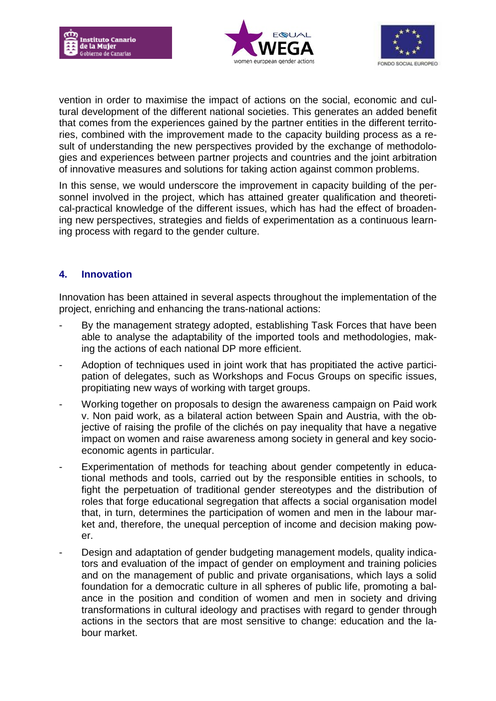





vention in order to maximise the impact of actions on the social, economic and cultural development of the different national societies. This generates an added benefit that comes from the experiences gained by the partner entities in the different territories, combined with the improvement made to the capacity building process as a result of understanding the new perspectives provided by the exchange of methodologies and experiences between partner projects and countries and the joint arbitration of innovative measures and solutions for taking action against common problems.

In this sense, we would underscore the improvement in capacity building of the personnel involved in the project, which has attained greater qualification and theoretical-practical knowledge of the different issues, which has had the effect of broadening new perspectives, strategies and fields of experimentation as a continuous learning process with regard to the gender culture.

## **4. Innovation**

Innovation has been attained in several aspects throughout the implementation of the project, enriching and enhancing the trans-national actions:

- By the management strategy adopted, establishing Task Forces that have been able to analyse the adaptability of the imported tools and methodologies, making the actions of each national DP more efficient.
- Adoption of techniques used in joint work that has propitiated the active participation of delegates, such as Workshops and Focus Groups on specific issues, propitiating new ways of working with target groups.
- Working together on proposals to design the awareness campaign on Paid work v. Non paid work, as a bilateral action between Spain and Austria, with the objective of raising the profile of the clichés on pay inequality that have a negative impact on women and raise awareness among society in general and key socioeconomic agents in particular.
- Experimentation of methods for teaching about gender competently in educational methods and tools, carried out by the responsible entities in schools, to fight the perpetuation of traditional gender stereotypes and the distribution of roles that forge educational segregation that affects a social organisation model that, in turn, determines the participation of women and men in the labour market and, therefore, the unequal perception of income and decision making power.
- Design and adaptation of gender budgeting management models, quality indicators and evaluation of the impact of gender on employment and training policies and on the management of public and private organisations, which lays a solid foundation for a democratic culture in all spheres of public life, promoting a balance in the position and condition of women and men in society and driving transformations in cultural ideology and practises with regard to gender through actions in the sectors that are most sensitive to change: education and the labour market.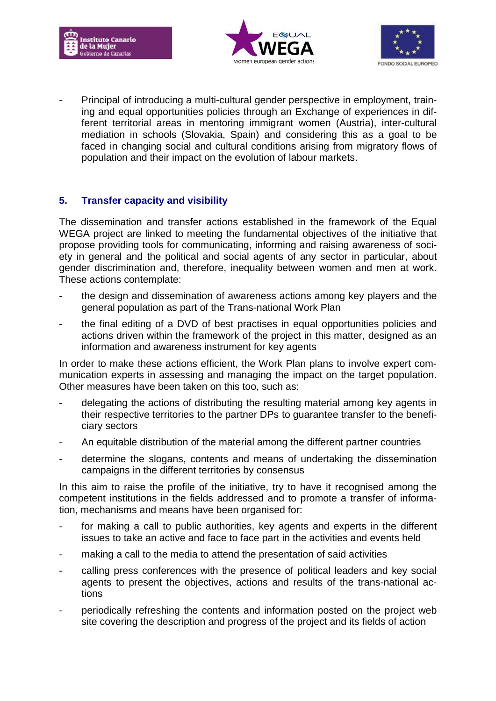





Principal of introducing a multi-cultural gender perspective in employment, training and equal opportunities policies through an Exchange of experiences in different territorial areas in mentoring immigrant women (Austria), inter-cultural mediation in schools (Slovakia, Spain) and considering this as a goal to be faced in changing social and cultural conditions arising from migratory flows of population and their impact on the evolution of labour markets.

## **5. Transfer capacity and visibility**

The dissemination and transfer actions established in the framework of the Equal WEGA project are linked to meeting the fundamental objectives of the initiative that propose providing tools for communicating, informing and raising awareness of society in general and the political and social agents of any sector in particular, about gender discrimination and, therefore, inequality between women and men at work. These actions contemplate:

- the design and dissemination of awareness actions among key players and the general population as part of the Trans-national Work Plan
- the final editing of a DVD of best practises in equal opportunities policies and actions driven within the framework of the project in this matter, designed as an information and awareness instrument for key agents

In order to make these actions efficient, the Work Plan plans to involve expert communication experts in assessing and managing the impact on the target population. Other measures have been taken on this too, such as:

- delegating the actions of distributing the resulting material among key agents in their respective territories to the partner DPs to guarantee transfer to the beneficiary sectors
- An equitable distribution of the material among the different partner countries
- determine the slogans, contents and means of undertaking the dissemination campaigns in the different territories by consensus

In this aim to raise the profile of the initiative, try to have it recognised among the competent institutions in the fields addressed and to promote a transfer of information, mechanisms and means have been organised for:

- for making a call to public authorities, key agents and experts in the different issues to take an active and face to face part in the activities and events held
- making a call to the media to attend the presentation of said activities
- calling press conferences with the presence of political leaders and key social agents to present the objectives, actions and results of the trans-national actions
- periodically refreshing the contents and information posted on the project web site covering the description and progress of the project and its fields of action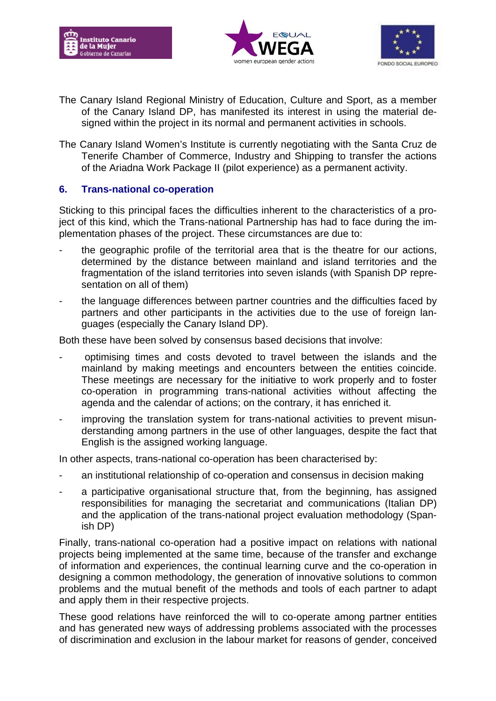





- The Canary Island Regional Ministry of Education, Culture and Sport, as a member of the Canary Island DP, has manifested its interest in using the material designed within the project in its normal and permanent activities in schools.
- The Canary Island Women's Institute is currently negotiating with the Santa Cruz de Tenerife Chamber of Commerce, Industry and Shipping to transfer the actions of the Ariadna Work Package II (pilot experience) as a permanent activity.

## **6. Trans-national co-operation**

Sticking to this principal faces the difficulties inherent to the characteristics of a project of this kind, which the Trans-national Partnership has had to face during the implementation phases of the project. These circumstances are due to:

- the geographic profile of the territorial area that is the theatre for our actions, determined by the distance between mainland and island territories and the fragmentation of the island territories into seven islands (with Spanish DP representation on all of them)
- the language differences between partner countries and the difficulties faced by partners and other participants in the activities due to the use of foreign languages (especially the Canary Island DP).

Both these have been solved by consensus based decisions that involve:

- optimising times and costs devoted to travel between the islands and the mainland by making meetings and encounters between the entities coincide. These meetings are necessary for the initiative to work properly and to foster co-operation in programming trans-national activities without affecting the agenda and the calendar of actions; on the contrary, it has enriched it.
- improving the translation system for trans-national activities to prevent misunderstanding among partners in the use of other languages, despite the fact that English is the assigned working language.

In other aspects, trans-national co-operation has been characterised by:

- an institutional relationship of co-operation and consensus in decision making
- a participative organisational structure that, from the beginning, has assigned responsibilities for managing the secretariat and communications (Italian DP) and the application of the trans-national project evaluation methodology (Spanish DP)

Finally, trans-national co-operation had a positive impact on relations with national projects being implemented at the same time, because of the transfer and exchange of information and experiences, the continual learning curve and the co-operation in designing a common methodology, the generation of innovative solutions to common problems and the mutual benefit of the methods and tools of each partner to adapt and apply them in their respective projects.

These good relations have reinforced the will to co-operate among partner entities and has generated new ways of addressing problems associated with the processes of discrimination and exclusion in the labour market for reasons of gender, conceived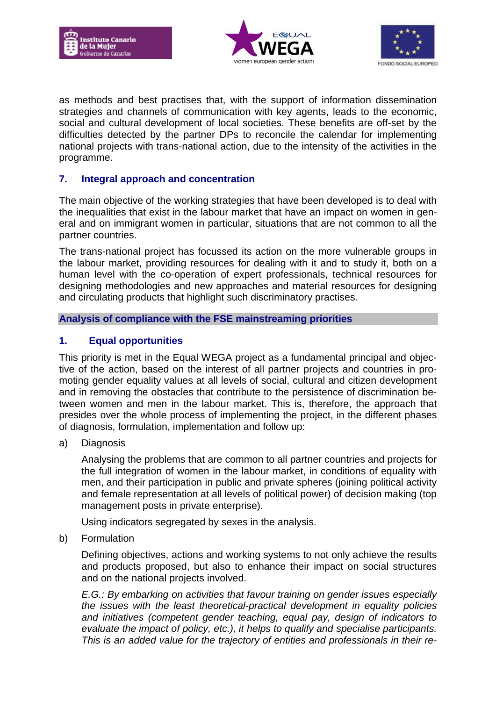





as methods and best practises that, with the support of information dissemination strategies and channels of communication with key agents, leads to the economic, social and cultural development of local societies. These benefits are off-set by the difficulties detected by the partner DPs to reconcile the calendar for implementing national projects with trans-national action, due to the intensity of the activities in the programme.

## **7. Integral approach and concentration**

The main objective of the working strategies that have been developed is to deal with the inequalities that exist in the labour market that have an impact on women in general and on immigrant women in particular, situations that are not common to all the partner countries.

The trans-national project has focussed its action on the more vulnerable groups in the labour market, providing resources for dealing with it and to study it, both on a human level with the co-operation of expert professionals, technical resources for designing methodologies and new approaches and material resources for designing and circulating products that highlight such discriminatory practises.

#### **Analysis of compliance with the FSE mainstreaming priorities**

## **1. Equal opportunities**

This priority is met in the Equal WEGA project as a fundamental principal and objective of the action, based on the interest of all partner projects and countries in promoting gender equality values at all levels of social, cultural and citizen development and in removing the obstacles that contribute to the persistence of discrimination between women and men in the labour market. This is, therefore, the approach that presides over the whole process of implementing the project, in the different phases of diagnosis, formulation, implementation and follow up:

a) Diagnosis

Analysing the problems that are common to all partner countries and projects for the full integration of women in the labour market, in conditions of equality with men, and their participation in public and private spheres (joining political activity and female representation at all levels of political power) of decision making (top management posts in private enterprise).

Using indicators segregated by sexes in the analysis.

b) Formulation

Defining objectives, actions and working systems to not only achieve the results and products proposed, but also to enhance their impact on social structures and on the national projects involved.

*E.G.: By embarking on activities that favour training on gender issues especially the issues with the least theoretical-practical development in equality policies and initiatives (competent gender teaching, equal pay, design of indicators to evaluate the impact of policy, etc.), it helps to qualify and specialise participants. This is an added value for the trajectory of entities and professionals in their re-*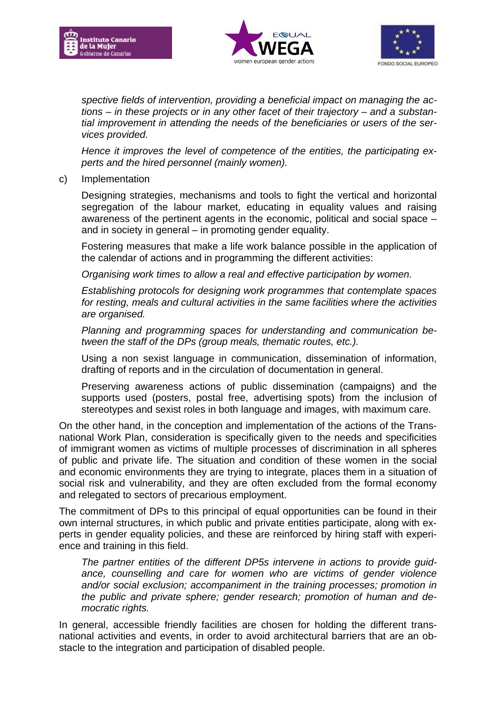





*spective fields of intervention, providing a beneficial impact on managing the actions – in these projects or in any other facet of their trajectory – and a substantial improvement in attending the needs of the beneficiaries or users of the services provided.*

*Hence it improves the level of competence of the entities, the participating experts and the hired personnel (mainly women).*

c) Implementation

Designing strategies, mechanisms and tools to fight the vertical and horizontal segregation of the labour market, educating in equality values and raising awareness of the pertinent agents in the economic, political and social space – and in society in general – in promoting gender equality.

Fostering measures that make a life work balance possible in the application of the calendar of actions and in programming the different activities:

*Organising work times to allow a real and effective participation by women.*

*Establishing protocols for designing work programmes that contemplate spaces for resting, meals and cultural activities in the same facilities where the activities are organised.*

*Planning and programming spaces for understanding and communication between the staff of the DPs (group meals, thematic routes, etc.).*

Using a non sexist language in communication, dissemination of information, drafting of reports and in the circulation of documentation in general.

Preserving awareness actions of public dissemination (campaigns) and the supports used (posters, postal free, advertising spots) from the inclusion of stereotypes and sexist roles in both language and images, with maximum care.

On the other hand, in the conception and implementation of the actions of the Transnational Work Plan, consideration is specifically given to the needs and specificities of immigrant women as victims of multiple processes of discrimination in all spheres of public and private life. The situation and condition of these women in the social and economic environments they are trying to integrate, places them in a situation of social risk and vulnerability, and they are often excluded from the formal economy and relegated to sectors of precarious employment.

The commitment of DPs to this principal of equal opportunities can be found in their own internal structures, in which public and private entities participate, along with experts in gender equality policies, and these are reinforced by hiring staff with experience and training in this field.

*The partner entities of the different DP5s intervene in actions to provide guidance, counselling and care for women who are victims of gender violence and/or social exclusion; accompaniment in the training processes; promotion in the public and private sphere; gender research; promotion of human and democratic rights.*

In general, accessible friendly facilities are chosen for holding the different transnational activities and events, in order to avoid architectural barriers that are an obstacle to the integration and participation of disabled people.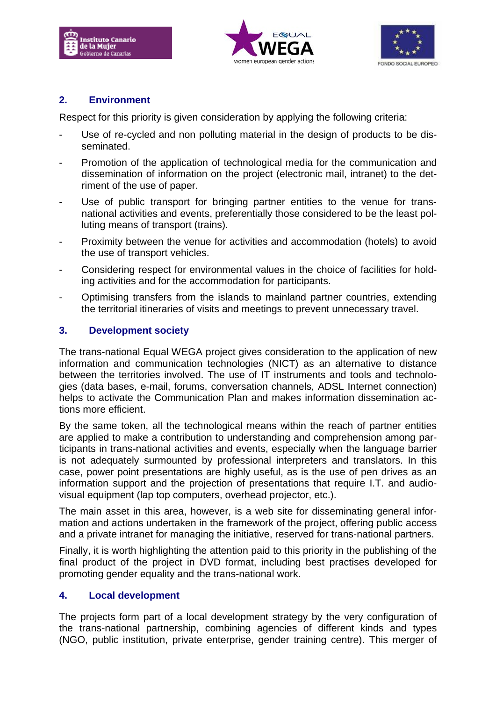





## **2. Environment**

Respect for this priority is given consideration by applying the following criteria:

- Use of re-cycled and non polluting material in the design of products to be disseminated.
- Promotion of the application of technological media for the communication and dissemination of information on the project (electronic mail, intranet) to the detriment of the use of paper.
- Use of public transport for bringing partner entities to the venue for transnational activities and events, preferentially those considered to be the least polluting means of transport (trains).
- Proximity between the venue for activities and accommodation (hotels) to avoid the use of transport vehicles.
- Considering respect for environmental values in the choice of facilities for holding activities and for the accommodation for participants.
- Optimising transfers from the islands to mainland partner countries, extending the territorial itineraries of visits and meetings to prevent unnecessary travel.

## **3. Development society**

The trans-national Equal WEGA project gives consideration to the application of new information and communication technologies (NICT) as an alternative to distance between the territories involved. The use of IT instruments and tools and technologies (data bases, e-mail, forums, conversation channels, ADSL Internet connection) helps to activate the Communication Plan and makes information dissemination actions more efficient.

By the same token, all the technological means within the reach of partner entities are applied to make a contribution to understanding and comprehension among participants in trans-national activities and events, especially when the language barrier is not adequately surmounted by professional interpreters and translators. In this case, power point presentations are highly useful, as is the use of pen drives as an information support and the projection of presentations that require I.T. and audiovisual equipment (lap top computers, overhead projector, etc.).

The main asset in this area, however, is a web site for disseminating general information and actions undertaken in the framework of the project, offering public access and a private intranet for managing the initiative, reserved for trans-national partners.

Finally, it is worth highlighting the attention paid to this priority in the publishing of the final product of the project in DVD format, including best practises developed for promoting gender equality and the trans-national work.

## **4. Local development**

The projects form part of a local development strategy by the very configuration of the trans-national partnership, combining agencies of different kinds and types (NGO, public institution, private enterprise, gender training centre). This merger of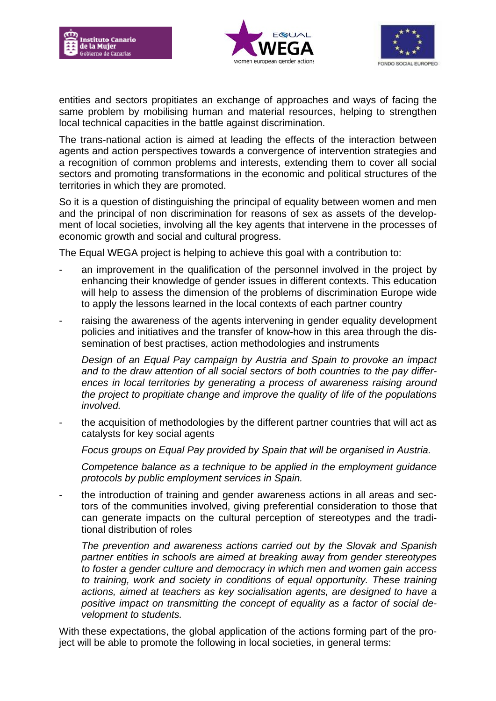





entities and sectors propitiates an exchange of approaches and ways of facing the same problem by mobilising human and material resources, helping to strengthen local technical capacities in the battle against discrimination.

The trans-national action is aimed at leading the effects of the interaction between agents and action perspectives towards a convergence of intervention strategies and a recognition of common problems and interests, extending them to cover all social sectors and promoting transformations in the economic and political structures of the territories in which they are promoted.

So it is a question of distinguishing the principal of equality between women and men and the principal of non discrimination for reasons of sex as assets of the development of local societies, involving all the key agents that intervene in the processes of economic growth and social and cultural progress.

The Equal WEGA project is helping to achieve this goal with a contribution to:

- an improvement in the qualification of the personnel involved in the project by enhancing their knowledge of gender issues in different contexts. This education will help to assess the dimension of the problems of discrimination Europe wide to apply the lessons learned in the local contexts of each partner country
- raising the awareness of the agents intervening in gender equality development policies and initiatives and the transfer of know-how in this area through the dissemination of best practises, action methodologies and instruments

*Design of an Equal Pay campaign by Austria and Spain to provoke an impact and to the draw attention of all social sectors of both countries to the pay differences in local territories by generating a process of awareness raising around the project to propitiate change and improve the quality of life of the populations involved.*

the acquisition of methodologies by the different partner countries that will act as catalysts for key social agents

*Focus groups on Equal Pay provided by Spain that will be organised in Austria.*

*Competence balance as a technique to be applied in the employment guidance protocols by public employment services in Spain.* 

the introduction of training and gender awareness actions in all areas and sectors of the communities involved, giving preferential consideration to those that can generate impacts on the cultural perception of stereotypes and the traditional distribution of roles

*The prevention and awareness actions carried out by the Slovak and Spanish partner entities in schools are aimed at breaking away from gender stereotypes to foster a gender culture and democracy in which men and women gain access to training, work and society in conditions of equal opportunity. These training actions, aimed at teachers as key socialisation agents, are designed to have a positive impact on transmitting the concept of equality as a factor of social development to students.* 

With these expectations, the global application of the actions forming part of the project will be able to promote the following in local societies, in general terms: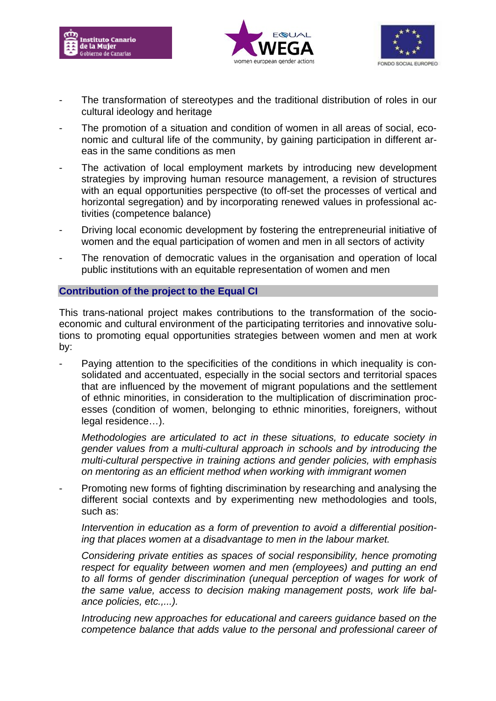





- The transformation of stereotypes and the traditional distribution of roles in our cultural ideology and heritage
- The promotion of a situation and condition of women in all areas of social, economic and cultural life of the community, by gaining participation in different areas in the same conditions as men
- The activation of local employment markets by introducing new development strategies by improving human resource management, a revision of structures with an equal opportunities perspective (to off-set the processes of vertical and horizontal segregation) and by incorporating renewed values in professional activities (competence balance)
- Driving local economic development by fostering the entrepreneurial initiative of women and the equal participation of women and men in all sectors of activity
- The renovation of democratic values in the organisation and operation of local public institutions with an equitable representation of women and men

#### **Contribution of the project to the Equal CI**

This trans-national project makes contributions to the transformation of the socioeconomic and cultural environment of the participating territories and innovative solutions to promoting equal opportunities strategies between women and men at work by:

Paying attention to the specificities of the conditions in which inequality is consolidated and accentuated, especially in the social sectors and territorial spaces that are influenced by the movement of migrant populations and the settlement of ethnic minorities, in consideration to the multiplication of discrimination processes (condition of women, belonging to ethnic minorities, foreigners, without legal residence…).

*Methodologies are articulated to act in these situations, to educate society in gender values from a multi-cultural approach in schools and by introducing the multi-cultural perspective in training actions and gender policies, with emphasis on mentoring as an efficient method when working with immigrant women*

Promoting new forms of fighting discrimination by researching and analysing the different social contexts and by experimenting new methodologies and tools, such as:

*Intervention in education as a form of prevention to avoid a differential positioning that places women at a disadvantage to men in the labour market.*

*Considering private entities as spaces of social responsibility, hence promoting respect for equality between women and men (employees) and putting an end*  to all forms of gender discrimination (unequal perception of wages for work of *the same value, access to decision making management posts, work life balance policies, etc.,...).*

*Introducing new approaches for educational and careers guidance based on the competence balance that adds value to the personal and professional career of*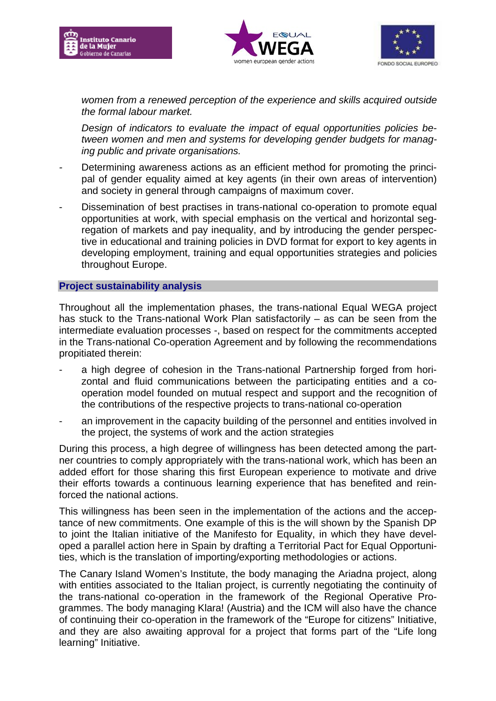





*women from a renewed perception of the experience and skills acquired outside the formal labour market.*

*Design of indicators to evaluate the impact of equal opportunities policies between women and men and systems for developing gender budgets for managing public and private organisations.*

- *-* Determining awareness actions as an efficient method for promoting the principal of gender equality aimed at key agents (in their own areas of intervention) and society in general through campaigns of maximum cover.
- Dissemination of best practises in trans-national co-operation to promote equal opportunities at work, with special emphasis on the vertical and horizontal segregation of markets and pay inequality, and by introducing the gender perspective in educational and training policies in DVD format for export to key agents in developing employment, training and equal opportunities strategies and policies throughout Europe.

#### **Project sustainability analysis**

Throughout all the implementation phases, the trans-national Equal WEGA project has stuck to the Trans-national Work Plan satisfactorily – as can be seen from the intermediate evaluation processes -, based on respect for the commitments accepted in the Trans-national Co-operation Agreement and by following the recommendations propitiated therein:

- a high degree of cohesion in the Trans-national Partnership forged from horizontal and fluid communications between the participating entities and a cooperation model founded on mutual respect and support and the recognition of the contributions of the respective projects to trans-national co-operation
- an improvement in the capacity building of the personnel and entities involved in the project, the systems of work and the action strategies

During this process, a high degree of willingness has been detected among the partner countries to comply appropriately with the trans-national work, which has been an added effort for those sharing this first European experience to motivate and drive their efforts towards a continuous learning experience that has benefited and reinforced the national actions.

This willingness has been seen in the implementation of the actions and the acceptance of new commitments. One example of this is the will shown by the Spanish DP to joint the Italian initiative of the Manifesto for Equality, in which they have developed a parallel action here in Spain by drafting a Territorial Pact for Equal Opportunities, which is the translation of importing/exporting methodologies or actions.

The Canary Island Women's Institute, the body managing the Ariadna project, along with entities associated to the Italian project, is currently negotiating the continuity of the trans-national co-operation in the framework of the Regional Operative Programmes. The body managing Klara! (Austria) and the ICM will also have the chance of continuing their co-operation in the framework of the "Europe for citizens" Initiative, and they are also awaiting approval for a project that forms part of the "Life long learning" Initiative.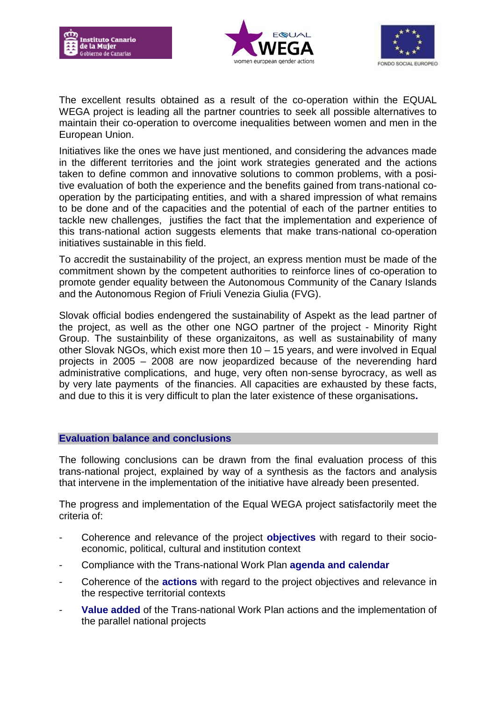





The excellent results obtained as a result of the co-operation within the EQUAL WEGA project is leading all the partner countries to seek all possible alternatives to maintain their co-operation to overcome inequalities between women and men in the European Union.

Initiatives like the ones we have just mentioned, and considering the advances made in the different territories and the joint work strategies generated and the actions taken to define common and innovative solutions to common problems, with a positive evaluation of both the experience and the benefits gained from trans-national cooperation by the participating entities, and with a shared impression of what remains to be done and of the capacities and the potential of each of the partner entities to tackle new challenges, justifies the fact that the implementation and experience of this trans-national action suggests elements that make trans-national co-operation initiatives sustainable in this field.

To accredit the sustainability of the project, an express mention must be made of the commitment shown by the competent authorities to reinforce lines of co-operation to promote gender equality between the Autonomous Community of the Canary Islands and the Autonomous Region of Friuli Venezia Giulia (FVG).

Slovak official bodies endengered the sustainability of Aspekt as the lead partner of the project, as well as the other one NGO partner of the project - Minority Right Group. The sustainbility of these organizaitons, as well as sustainability of many other Slovak NGOs, which exist more then 10 – 15 years, and were involved in Equal projects in 2005 – 2008 are now jeopardized because of the neverending hard administrative complications, and huge, very often non-sense byrocracy, as well as by very late payments of the financies. All capacities are exhausted by these facts, and due to this it is very difficult to plan the later existence of these organisations**.** 

#### **Evaluation balance and conclusions**

The following conclusions can be drawn from the final evaluation process of this trans-national project, explained by way of a synthesis as the factors and analysis that intervene in the implementation of the initiative have already been presented.

The progress and implementation of the Equal WEGA project satisfactorily meet the criteria of:

- Coherence and relevance of the project **objectives** with regard to their socioeconomic, political, cultural and institution context
- Compliance with the Trans-national Work Plan **agenda and calendar**
- Coherence of the **actions** with regard to the project objectives and relevance in the respective territorial contexts
- Value added of the Trans-national Work Plan actions and the implementation of the parallel national projects